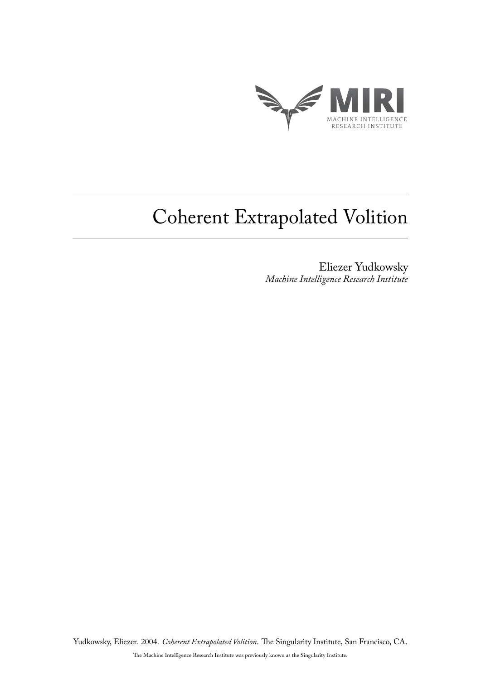

# Coherent Extrapolated Volition

Eliezer Yudkowsky *Machine Intelligence Research Institute*

Yudkowsky, Eliezer. 2004. *Coherent Extrapolated Volition*. The Singularity Institute, San Francisco, CA.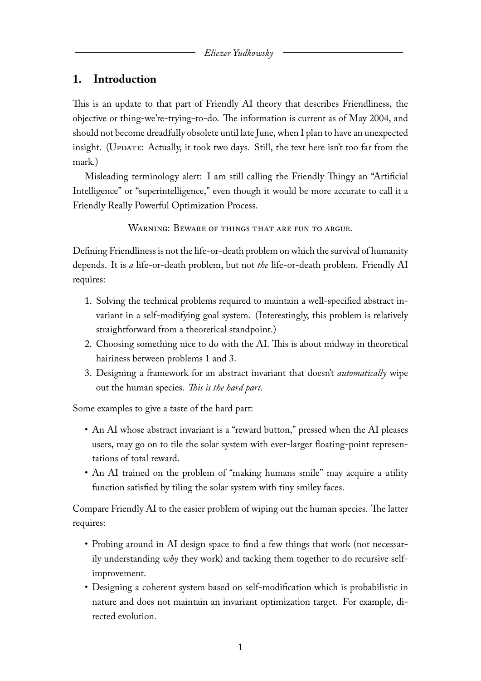# **1. Introduction**

This is an update to that part of Friendly AI theory that describes Friendliness, the objective or thing-we're-trying-to-do. The information is current as of May 2004, and should not become dreadfully obsolete until late June, when I plan to have an unexpected insight. (UPDATE: Actually, it took two days. Still, the text here isn't too far from the mark.)

Misleading terminology alert: I am still calling the Friendly Thingy an "Artificial Intelligence" or "superintelligence," even though it would be more accurate to call it a Friendly Really Powerful Optimization Process.

WARNING: BEWARE OF THINGS THAT ARE FUN TO ARGUE.

Defining Friendliness is not the life-or-death problem on which the survival of humanity depends. It is *a* life-or-death problem, but not *the* life-or-death problem. Friendly AI requires:

- 1. Solving the technical problems required to maintain a well-specified abstract invariant in a self-modifying goal system. (Interestingly, this problem is relatively straightforward from a theoretical standpoint.)
- 2. Choosing something nice to do with the AI. This is about midway in theoretical hairiness between problems 1 and 3.
- 3. Designing a framework for an abstract invariant that doesn't *automatically* wipe out the human species. *This is the hard part.*

Some examples to give a taste of the hard part:

- An AI whose abstract invariant is a "reward button," pressed when the AI pleases users, may go on to tile the solar system with ever-larger floating-point representations of total reward.
- An AI trained on the problem of "making humans smile" may acquire a utility function satisfied by tiling the solar system with tiny smiley faces.

Compare Friendly AI to the easier problem of wiping out the human species. The latter requires:

- Probing around in AI design space to find a few things that work (not necessarily understanding *why* they work) and tacking them together to do recursive selfimprovement.
- Designing a coherent system based on self-modification which is probabilistic in nature and does not maintain an invariant optimization target. For example, directed evolution.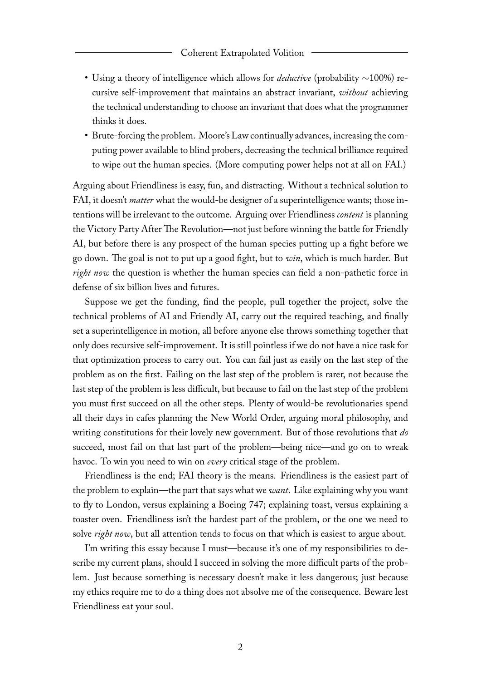- Using a theory of intelligence which allows for *deductive* (probability ∼100%) recursive self-improvement that maintains an abstract invariant, *without* achieving the technical understanding to choose an invariant that does what the programmer thinks it does.
- Brute-forcing the problem. Moore's Law continually advances, increasing the computing power available to blind probers, decreasing the technical brilliance required to wipe out the human species. (More computing power helps not at all on FAI.)

Arguing about Friendliness is easy, fun, and distracting. Without a technical solution to FAI, it doesn't *matter* what the would-be designer of a superintelligence wants; those intentions will be irrelevant to the outcome. Arguing over Friendliness *content* is planning the Victory Party After The Revolution—not just before winning the battle for Friendly AI, but before there is any prospect of the human species putting up a fight before we go down. The goal is not to put up a good fight, but to *win*, which is much harder. But *right now* the question is whether the human species can field a non-pathetic force in defense of six billion lives and futures.

Suppose we get the funding, find the people, pull together the project, solve the technical problems of AI and Friendly AI, carry out the required teaching, and finally set a superintelligence in motion, all before anyone else throws something together that only does recursive self-improvement. It is still pointless if we do not have a nice task for that optimization process to carry out. You can fail just as easily on the last step of the problem as on the first. Failing on the last step of the problem is rarer, not because the last step of the problem is less difficult, but because to fail on the last step of the problem you must first succeed on all the other steps. Plenty of would-be revolutionaries spend all their days in cafes planning the New World Order, arguing moral philosophy, and writing constitutions for their lovely new government. But of those revolutions that *do* succeed, most fail on that last part of the problem—being nice—and go on to wreak havoc. To win you need to win on *every* critical stage of the problem.

Friendliness is the end; FAI theory is the means. Friendliness is the easiest part of the problem to explain—the part that says what we *want*. Like explaining why you want to fly to London, versus explaining a Boeing 747; explaining toast, versus explaining a toaster oven. Friendliness isn't the hardest part of the problem, or the one we need to solve *right now*, but all attention tends to focus on that which is easiest to argue about.

I'm writing this essay because I must—because it's one of my responsibilities to describe my current plans, should I succeed in solving the more difficult parts of the problem. Just because something is necessary doesn't make it less dangerous; just because my ethics require me to do a thing does not absolve me of the consequence. Beware lest Friendliness eat your soul.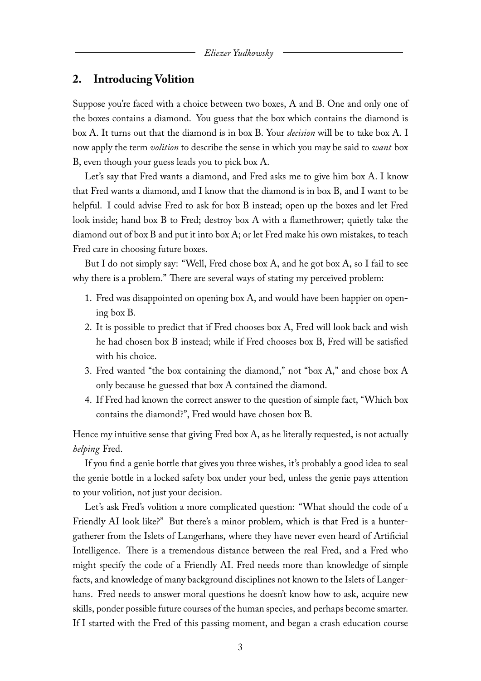## **2. Introducing Volition**

Suppose you're faced with a choice between two boxes, A and B. One and only one of the boxes contains a diamond. You guess that the box which contains the diamond is box A. It turns out that the diamond is in box B. Your *decision* will be to take box A. I now apply the term *volition* to describe the sense in which you may be said to *want* box B, even though your guess leads you to pick box A.

Let's say that Fred wants a diamond, and Fred asks me to give him box A. I know that Fred wants a diamond, and I know that the diamond is in box B, and I want to be helpful. I could advise Fred to ask for box B instead; open up the boxes and let Fred look inside; hand box B to Fred; destroy box A with a flamethrower; quietly take the diamond out of box B and put it into box A; or let Fred make his own mistakes, to teach Fred care in choosing future boxes.

But I do not simply say: "Well, Fred chose box A, and he got box A, so I fail to see why there is a problem." There are several ways of stating my perceived problem:

- 1. Fred was disappointed on opening box A, and would have been happier on opening box B.
- 2. It is possible to predict that if Fred chooses box A, Fred will look back and wish he had chosen box B instead; while if Fred chooses box B, Fred will be satisfied with his choice.
- 3. Fred wanted "the box containing the diamond," not "box A," and chose box A only because he guessed that box A contained the diamond.
- 4. If Fred had known the correct answer to the question of simple fact, "Which box contains the diamond?", Fred would have chosen box B.

Hence my intuitive sense that giving Fred box A, as he literally requested, is not actually *helping* Fred.

If you find a genie bottle that gives you three wishes, it's probably a good idea to seal the genie bottle in a locked safety box under your bed, unless the genie pays attention to your volition, not just your decision.

Let's ask Fred's volition a more complicated question: "What should the code of a Friendly AI look like?" But there's a minor problem, which is that Fred is a huntergatherer from the Islets of Langerhans, where they have never even heard of Artificial Intelligence. There is a tremendous distance between the real Fred, and a Fred who might specify the code of a Friendly AI. Fred needs more than knowledge of simple facts, and knowledge of many background disciplines not known to the Islets of Langerhans. Fred needs to answer moral questions he doesn't know how to ask, acquire new skills, ponder possible future courses of the human species, and perhaps become smarter. If I started with the Fred of this passing moment, and began a crash education course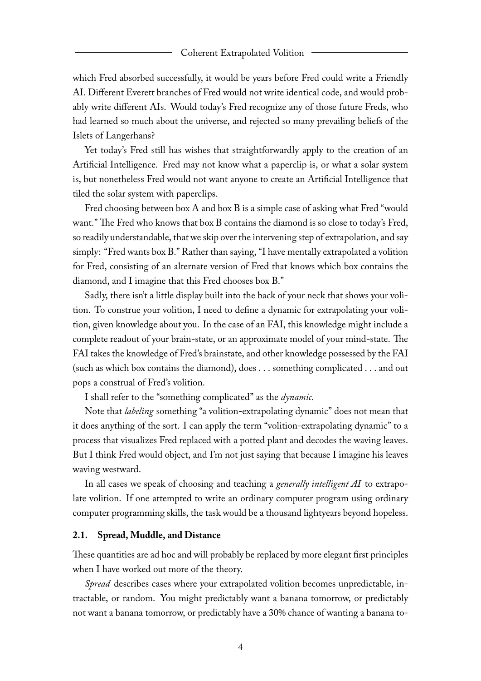which Fred absorbed successfully, it would be years before Fred could write a Friendly AI. Different Everett branches of Fred would not write identical code, and would probably write different AIs. Would today's Fred recognize any of those future Freds, who had learned so much about the universe, and rejected so many prevailing beliefs of the Islets of Langerhans?

Yet today's Fred still has wishes that straightforwardly apply to the creation of an Artificial Intelligence. Fred may not know what a paperclip is, or what a solar system is, but nonetheless Fred would not want anyone to create an Artificial Intelligence that tiled the solar system with paperclips.

Fred choosing between box A and box B is a simple case of asking what Fred "would want." The Fred who knows that box B contains the diamond is so close to today's Fred, so readily understandable, that we skip over the intervening step of extrapolation, and say simply: "Fred wants box B." Rather than saying, "I have mentally extrapolated a volition for Fred, consisting of an alternate version of Fred that knows which box contains the diamond, and I imagine that this Fred chooses box B."

Sadly, there isn't a little display built into the back of your neck that shows your volition. To construe your volition, I need to define a dynamic for extrapolating your volition, given knowledge about you. In the case of an FAI, this knowledge might include a complete readout of your brain-state, or an approximate model of your mind-state. The FAI takes the knowledge of Fred's brainstate, and other knowledge possessed by the FAI (such as which box contains the diamond), does . . . something complicated . . . and out pops a construal of Fred's volition.

I shall refer to the "something complicated" as the *dynamic*.

Note that *labeling* something "a volition-extrapolating dynamic" does not mean that it does anything of the sort. I can apply the term "volition-extrapolating dynamic" to a process that visualizes Fred replaced with a potted plant and decodes the waving leaves. But I think Fred would object, and I'm not just saying that because I imagine his leaves waving westward.

In all cases we speak of choosing and teaching a *generally intelligent AI* to extrapolate volition. If one attempted to write an ordinary computer program using ordinary computer programming skills, the task would be a thousand lightyears beyond hopeless.

## **2.1. Spread, Muddle, and Distance**

These quantities are ad hoc and will probably be replaced by more elegant first principles when I have worked out more of the theory.

*Spread* describes cases where your extrapolated volition becomes unpredictable, intractable, or random. You might predictably want a banana tomorrow, or predictably not want a banana tomorrow, or predictably have a 30% chance of wanting a banana to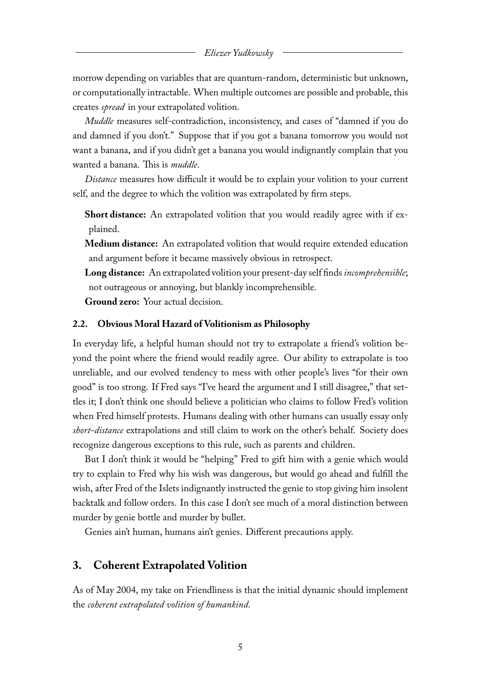morrow depending on variables that are quantum-random, deterministic but unknown, or computationally intractable. When multiple outcomes are possible and probable, this creates *spread* in your extrapolated volition.

*Muddle* measures self-contradiction, inconsistency, and cases of "damned if you do and damned if you don't." Suppose that if you got a banana tomorrow you would not want a banana, and if you didn't get a banana you would indignantly complain that you wanted a banana. This is *muddle*.

*Distance* measures how difficult it would be to explain your volition to your current self, and the degree to which the volition was extrapolated by firm steps.

**Short distance:** An extrapolated volition that you would readily agree with if explained.

**Medium distance:** An extrapolated volition that would require extended education and argument before it became massively obvious in retrospect.

**Long distance:** An extrapolated volition your present-day self finds*incomprehensible*; not outrageous or annoying, but blankly incomprehensible.

**Ground zero:** Your actual decision.

#### **2.2. Obvious Moral Hazard of Volitionism as Philosophy**

In everyday life, a helpful human should not try to extrapolate a friend's volition beyond the point where the friend would readily agree. Our ability to extrapolate is too unreliable, and our evolved tendency to mess with other people's lives "for their own good" is too strong. If Fred says "I've heard the argument and I still disagree," that settles it; I don't think one should believe a politician who claims to follow Fred's volition when Fred himself protests. Humans dealing with other humans can usually essay only *short-distance* extrapolations and still claim to work on the other's behalf. Society does recognize dangerous exceptions to this rule, such as parents and children.

But I don't think it would be "helping" Fred to gift him with a genie which would try to explain to Fred why his wish was dangerous, but would go ahead and fulfill the wish, after Fred of the Islets indignantly instructed the genie to stop giving him insolent backtalk and follow orders. In this case I don't see much of a moral distinction between murder by genie bottle and murder by bullet.

Genies ain't human, humans ain't genies. Different precautions apply.

## **3. Coherent Extrapolated Volition**

As of May 2004, my take on Friendliness is that the initial dynamic should implement the *coherent extrapolated volition of humankind*.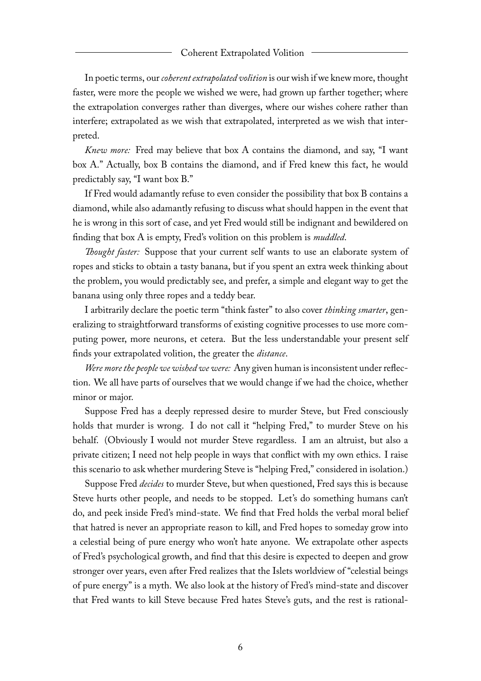In poetic terms, our *coherent extrapolated volition* is our wish if we knew more, thought faster, were more the people we wished we were, had grown up farther together; where the extrapolation converges rather than diverges, where our wishes cohere rather than interfere; extrapolated as we wish that extrapolated, interpreted as we wish that interpreted.

*Knew more:* Fred may believe that box A contains the diamond, and say, "I want box A." Actually, box B contains the diamond, and if Fred knew this fact, he would predictably say, "I want box B."

If Fred would adamantly refuse to even consider the possibility that box B contains a diamond, while also adamantly refusing to discuss what should happen in the event that he is wrong in this sort of case, and yet Fred would still be indignant and bewildered on finding that box A is empty, Fred's volition on this problem is *muddled*.

*Thought faster:* Suppose that your current self wants to use an elaborate system of ropes and sticks to obtain a tasty banana, but if you spent an extra week thinking about the problem, you would predictably see, and prefer, a simple and elegant way to get the banana using only three ropes and a teddy bear.

I arbitrarily declare the poetic term "think faster" to also cover *thinking smarter*, generalizing to straightforward transforms of existing cognitive processes to use more computing power, more neurons, et cetera. But the less understandable your present self finds your extrapolated volition, the greater the *distance*.

*Were more the people we wished we were:* Any given human is inconsistent under reflection. We all have parts of ourselves that we would change if we had the choice, whether minor or major.

Suppose Fred has a deeply repressed desire to murder Steve, but Fred consciously holds that murder is wrong. I do not call it "helping Fred," to murder Steve on his behalf. (Obviously I would not murder Steve regardless. I am an altruist, but also a private citizen; I need not help people in ways that conflict with my own ethics. I raise this scenario to ask whether murdering Steve is "helping Fred," considered in isolation.)

Suppose Fred *decides* to murder Steve, but when questioned, Fred says this is because Steve hurts other people, and needs to be stopped. Let's do something humans can't do, and peek inside Fred's mind-state. We find that Fred holds the verbal moral belief that hatred is never an appropriate reason to kill, and Fred hopes to someday grow into a celestial being of pure energy who won't hate anyone. We extrapolate other aspects of Fred's psychological growth, and find that this desire is expected to deepen and grow stronger over years, even after Fred realizes that the Islets worldview of "celestial beings of pure energy" is a myth. We also look at the history of Fred's mind-state and discover that Fred wants to kill Steve because Fred hates Steve's guts, and the rest is rational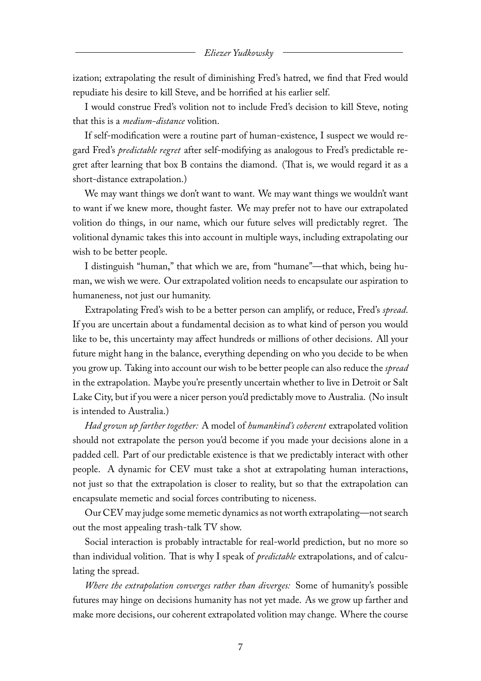ization; extrapolating the result of diminishing Fred's hatred, we find that Fred would repudiate his desire to kill Steve, and be horrified at his earlier self.

I would construe Fred's volition not to include Fred's decision to kill Steve, noting that this is a *medium-distance* volition.

If self-modification were a routine part of human-existence, I suspect we would regard Fred's *predictable regret* after self-modifying as analogous to Fred's predictable regret after learning that box B contains the diamond. (That is, we would regard it as a short-distance extrapolation.)

We may want things we don't want to want. We may want things we wouldn't want to want if we knew more, thought faster. We may prefer not to have our extrapolated volition do things, in our name, which our future selves will predictably regret. The volitional dynamic takes this into account in multiple ways, including extrapolating our wish to be better people.

I distinguish "human," that which we are, from "humane"—that which, being human, we wish we were. Our extrapolated volition needs to encapsulate our aspiration to humaneness, not just our humanity.

Extrapolating Fred's wish to be a better person can amplify, or reduce, Fred's *spread*. If you are uncertain about a fundamental decision as to what kind of person you would like to be, this uncertainty may affect hundreds or millions of other decisions. All your future might hang in the balance, everything depending on who you decide to be when you grow up. Taking into account our wish to be better people can also reduce the *spread* in the extrapolation. Maybe you're presently uncertain whether to live in Detroit or Salt Lake City, but if you were a nicer person you'd predictably move to Australia. (No insult is intended to Australia.)

*Had grown up farther together:* A model of *humankind's coherent* extrapolated volition should not extrapolate the person you'd become if you made your decisions alone in a padded cell. Part of our predictable existence is that we predictably interact with other people. A dynamic for CEV must take a shot at extrapolating human interactions, not just so that the extrapolation is closer to reality, but so that the extrapolation can encapsulate memetic and social forces contributing to niceness.

Our CEV may judge some memetic dynamics as not worth extrapolating—not search out the most appealing trash-talk TV show.

Social interaction is probably intractable for real-world prediction, but no more so than individual volition. That is why I speak of *predictable* extrapolations, and of calculating the spread.

*Where the extrapolation converges rather than diverges:* Some of humanity's possible futures may hinge on decisions humanity has not yet made. As we grow up farther and make more decisions, our coherent extrapolated volition may change. Where the course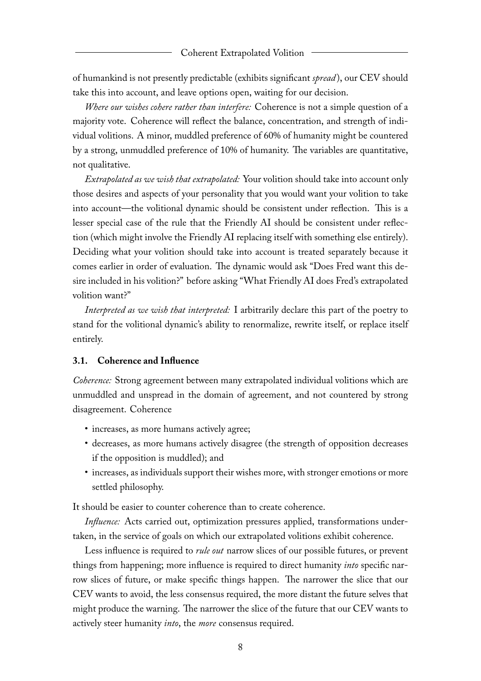of humankind is not presently predictable (exhibits significant *spread* ), our CEV should take this into account, and leave options open, waiting for our decision.

*Where our wishes cohere rather than interfere:* Coherence is not a simple question of a majority vote. Coherence will reflect the balance, concentration, and strength of individual volitions. A minor, muddled preference of 60% of humanity might be countered by a strong, unmuddled preference of 10% of humanity. The variables are quantitative, not qualitative.

*Extrapolated as we wish that extrapolated:* Your volition should take into account only those desires and aspects of your personality that you would want your volition to take into account—the volitional dynamic should be consistent under reflection. This is a lesser special case of the rule that the Friendly AI should be consistent under reflection (which might involve the Friendly AI replacing itself with something else entirely). Deciding what your volition should take into account is treated separately because it comes earlier in order of evaluation. The dynamic would ask "Does Fred want this desire included in his volition?" before asking "What Friendly AI does Fred's extrapolated volition want?"

*Interpreted as we wish that interpreted:* I arbitrarily declare this part of the poetry to stand for the volitional dynamic's ability to renormalize, rewrite itself, or replace itself entirely.

## **3.1. Coherence and Influence**

*Coherence:* Strong agreement between many extrapolated individual volitions which are unmuddled and unspread in the domain of agreement, and not countered by strong disagreement. Coherence

- increases, as more humans actively agree;
- decreases, as more humans actively disagree (the strength of opposition decreases if the opposition is muddled); and
- increases, as individuals support their wishes more, with stronger emotions or more settled philosophy.

It should be easier to counter coherence than to create coherence.

*Influence:* Acts carried out, optimization pressures applied, transformations undertaken, in the service of goals on which our extrapolated volitions exhibit coherence.

Less influence is required to *rule out* narrow slices of our possible futures, or prevent things from happening; more influence is required to direct humanity *into* specific narrow slices of future, or make specific things happen. The narrower the slice that our CEV wants to avoid, the less consensus required, the more distant the future selves that might produce the warning. The narrower the slice of the future that our CEV wants to actively steer humanity *into*, the *more* consensus required.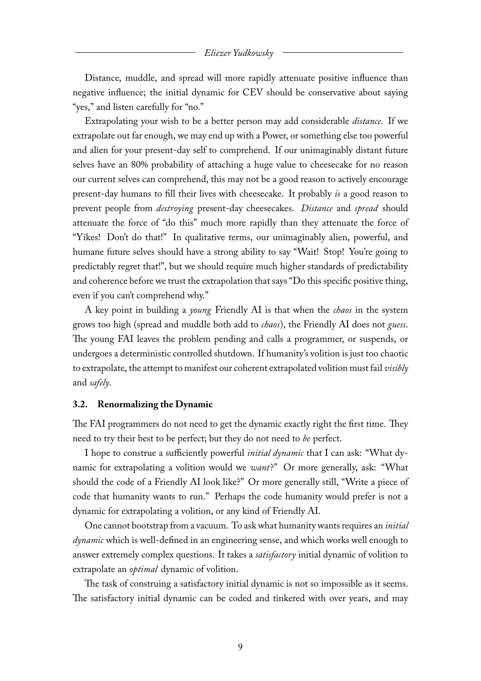Distance, muddle, and spread will more rapidly attenuate positive influence than negative influence; the initial dynamic for CEV should be conservative about saying "yes," and listen carefully for "no."

Extrapolating your wish to be a better person may add considerable *distance*. If we extrapolate out far enough, we may end up with a Power, or something else too powerful and alien for your present-day self to comprehend. If our unimaginably distant future selves have an 80% probability of attaching a huge value to cheesecake for no reason our current selves can comprehend, this may not be a good reason to actively encourage present-day humans to fill their lives with cheesecake. It probably *is* a good reason to prevent people from *destroying* present-day cheesecakes. *Distance* and *spread* should attenuate the force of "do this" much more rapidly than they attenuate the force of "Yikes! Don't do that!" In qualitative terms, our unimaginably alien, powerful, and humane future selves should have a strong ability to say "Wait! Stop! You're going to predictably regret that!", but we should require much higher standards of predictability and coherence before we trust the extrapolation that says "Do this specific positive thing, even if you can't comprehend why."

A key point in building a *young* Friendly AI is that when the *chaos* in the system grows too high (spread and muddle both add to *chaos*), the Friendly AI does not *guess*. The young FAI leaves the problem pending and calls a programmer, or suspends, or undergoes a deterministic controlled shutdown. If humanity's volition is just too chaotic to extrapolate, the attempt to manifest our coherent extrapolated volition must fail *visibly* and *safely*.

#### **3.2. Renormalizing the Dynamic**

The FAI programmers do not need to get the dynamic exactly right the first time. They need to try their best to be perfect; but they do not need to *be* perfect.

I hope to construe a sufficiently powerful *initial dynamic* that I can ask: "What dynamic for extrapolating a volition would we *want*?" Or more generally, ask: "What should the code of a Friendly AI look like?" Or more generally still, "Write a piece of code that humanity wants to run." Perhaps the code humanity would prefer is not a dynamic for extrapolating a volition, or any kind of Friendly AI.

One cannot bootstrap from a vacuum. To ask what humanity wants requires an *initial dynamic* which is well-defined in an engineering sense, and which works well enough to answer extremely complex questions. It takes a *satisfactory* initial dynamic of volition to extrapolate an *optimal* dynamic of volition.

The task of construing a satisfactory initial dynamic is not so impossible as it seems. The satisfactory initial dynamic can be coded and tinkered with over years, and may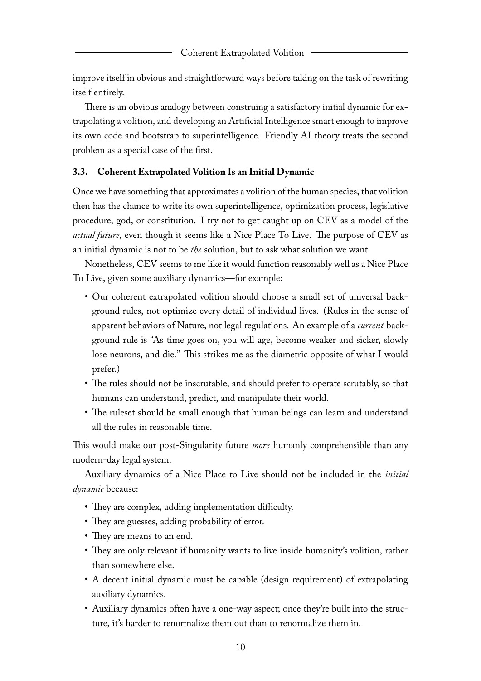improve itself in obvious and straightforward ways before taking on the task of rewriting itself entirely.

There is an obvious analogy between construing a satisfactory initial dynamic for extrapolating a volition, and developing an Artificial Intelligence smart enough to improve its own code and bootstrap to superintelligence. Friendly AI theory treats the second problem as a special case of the first.

# **3.3. Coherent Extrapolated Volition Is an Initial Dynamic**

Once we have something that approximates a volition of the human species, that volition then has the chance to write its own superintelligence, optimization process, legislative procedure, god, or constitution. I try not to get caught up on CEV as a model of the *actual future*, even though it seems like a Nice Place To Live. The purpose of CEV as an initial dynamic is not to be *the* solution, but to ask what solution we want.

Nonetheless, CEV seems to me like it would function reasonably well as a Nice Place To Live, given some auxiliary dynamics—for example:

- Our coherent extrapolated volition should choose a small set of universal background rules, not optimize every detail of individual lives. (Rules in the sense of apparent behaviors of Nature, not legal regulations. An example of a *current* background rule is "As time goes on, you will age, become weaker and sicker, slowly lose neurons, and die." This strikes me as the diametric opposite of what I would prefer.)
- The rules should not be inscrutable, and should prefer to operate scrutably, so that humans can understand, predict, and manipulate their world.
- The ruleset should be small enough that human beings can learn and understand all the rules in reasonable time.

This would make our post-Singularity future *more* humanly comprehensible than any modern-day legal system.

Auxiliary dynamics of a Nice Place to Live should not be included in the *initial dynamic* because:

- They are complex, adding implementation difficulty.
- They are guesses, adding probability of error.
- They are means to an end.
- They are only relevant if humanity wants to live inside humanity's volition, rather than somewhere else.
- A decent initial dynamic must be capable (design requirement) of extrapolating auxiliary dynamics.
- Auxiliary dynamics often have a one-way aspect; once they're built into the structure, it's harder to renormalize them out than to renormalize them in.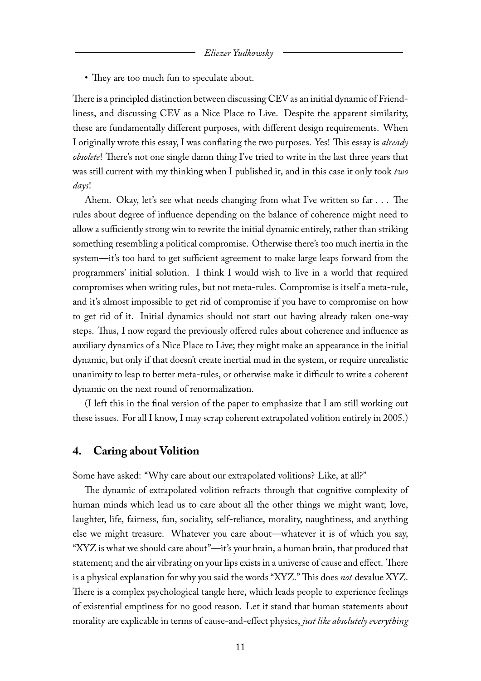• They are too much fun to speculate about.

There is a principled distinction between discussing CEV as an initial dynamic of Friendliness, and discussing CEV as a Nice Place to Live. Despite the apparent similarity, these are fundamentally different purposes, with different design requirements. When I originally wrote this essay, I was conflating the two purposes. Yes! This essay is *already obsolete*! There's not one single damn thing I've tried to write in the last three years that was still current with my thinking when I published it, and in this case it only took *two days*!

Ahem. Okay, let's see what needs changing from what I've written so far . . . The rules about degree of influence depending on the balance of coherence might need to allow a sufficiently strong win to rewrite the initial dynamic entirely, rather than striking something resembling a political compromise. Otherwise there's too much inertia in the system—it's too hard to get sufficient agreement to make large leaps forward from the programmers' initial solution. I think I would wish to live in a world that required compromises when writing rules, but not meta-rules. Compromise is itself a meta-rule, and it's almost impossible to get rid of compromise if you have to compromise on how to get rid of it. Initial dynamics should not start out having already taken one-way steps. Thus, I now regard the previously offered rules about coherence and influence as auxiliary dynamics of a Nice Place to Live; they might make an appearance in the initial dynamic, but only if that doesn't create inertial mud in the system, or require unrealistic unanimity to leap to better meta-rules, or otherwise make it difficult to write a coherent dynamic on the next round of renormalization.

(I left this in the final version of the paper to emphasize that I am still working out these issues. For all I know, I may scrap coherent extrapolated volition entirely in 2005.)

## **4. Caring about Volition**

Some have asked: "Why care about our extrapolated volitions? Like, at all?"

The dynamic of extrapolated volition refracts through that cognitive complexity of human minds which lead us to care about all the other things we might want; love, laughter, life, fairness, fun, sociality, self-reliance, morality, naughtiness, and anything else we might treasure. Whatever you care about—whatever it is of which you say, "XYZ is what we should care about"—it's your brain, a human brain, that produced that statement; and the air vibrating on your lips exists in a universe of cause and effect. There is a physical explanation for why you said the words "XYZ." This does *not* devalue XYZ. There is a complex psychological tangle here, which leads people to experience feelings of existential emptiness for no good reason. Let it stand that human statements about morality are explicable in terms of cause-and-effect physics, *just like absolutely everything*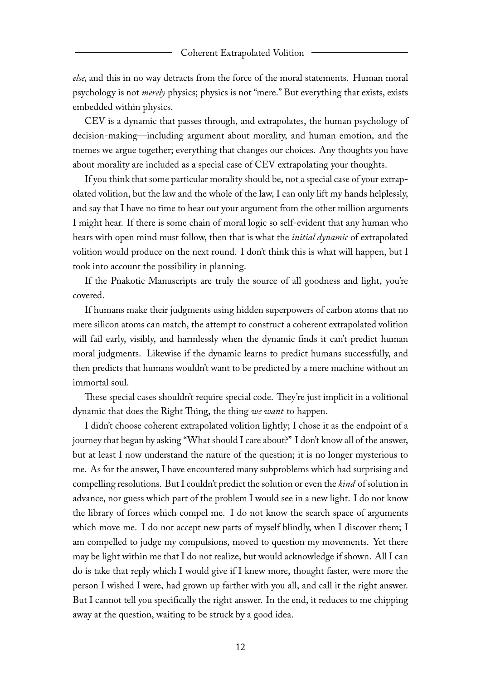*else,* and this in no way detracts from the force of the moral statements. Human moral psychology is not *merely* physics; physics is not "mere." But everything that exists, exists embedded within physics.

CEV is a dynamic that passes through, and extrapolates, the human psychology of decision-making—including argument about morality, and human emotion, and the memes we argue together; everything that changes our choices. Any thoughts you have about morality are included as a special case of CEV extrapolating your thoughts.

If you think that some particular morality should be, not a special case of your extrapolated volition, but the law and the whole of the law, I can only lift my hands helplessly, and say that I have no time to hear out your argument from the other million arguments I might hear. If there is some chain of moral logic so self-evident that any human who hears with open mind must follow, then that is what the *initial dynamic* of extrapolated volition would produce on the next round. I don't think this is what will happen, but I took into account the possibility in planning.

If the Pnakotic Manuscripts are truly the source of all goodness and light, you're covered.

If humans make their judgments using hidden superpowers of carbon atoms that no mere silicon atoms can match, the attempt to construct a coherent extrapolated volition will fail early, visibly, and harmlessly when the dynamic finds it can't predict human moral judgments. Likewise if the dynamic learns to predict humans successfully, and then predicts that humans wouldn't want to be predicted by a mere machine without an immortal soul.

These special cases shouldn't require special code. They're just implicit in a volitional dynamic that does the Right Thing, the thing *we want* to happen.

I didn't choose coherent extrapolated volition lightly; I chose it as the endpoint of a journey that began by asking "What should I care about?" I don't know all of the answer, but at least I now understand the nature of the question; it is no longer mysterious to me. As for the answer, I have encountered many subproblems which had surprising and compelling resolutions. But I couldn't predict the solution or even the *kind* of solution in advance, nor guess which part of the problem I would see in a new light. I do not know the library of forces which compel me. I do not know the search space of arguments which move me. I do not accept new parts of myself blindly, when I discover them; I am compelled to judge my compulsions, moved to question my movements. Yet there may be light within me that I do not realize, but would acknowledge if shown. All I can do is take that reply which I would give if I knew more, thought faster, were more the person I wished I were, had grown up farther with you all, and call it the right answer. But I cannot tell you specifically the right answer. In the end, it reduces to me chipping away at the question, waiting to be struck by a good idea.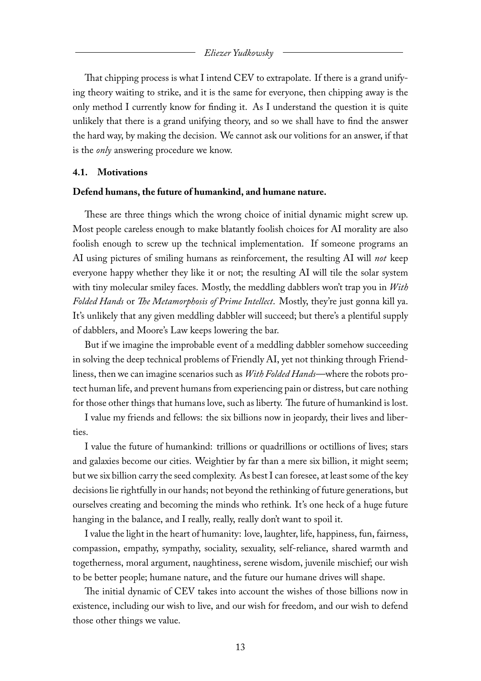#### *Eliezer Yudkowsky*

That chipping process is what I intend CEV to extrapolate. If there is a grand unifying theory waiting to strike, and it is the same for everyone, then chipping away is the only method I currently know for finding it. As I understand the question it is quite unlikely that there is a grand unifying theory, and so we shall have to find the answer the hard way, by making the decision. We cannot ask our volitions for an answer, if that is the *only* answering procedure we know.

#### **4.1. Motivations**

#### **Defend humans, the future of humankind, and humane nature.**

These are three things which the wrong choice of initial dynamic might screw up. Most people careless enough to make blatantly foolish choices for AI morality are also foolish enough to screw up the technical implementation. If someone programs an AI using pictures of smiling humans as reinforcement, the resulting AI will *not* keep everyone happy whether they like it or not; the resulting AI will tile the solar system with tiny molecular smiley faces. Mostly, the meddling dabblers won't trap you in *With Folded Hands* or *The Metamorphosis of Prime Intellect*. Mostly, they're just gonna kill ya. It's unlikely that any given meddling dabbler will succeed; but there's a plentiful supply of dabblers, and Moore's Law keeps lowering the bar.

But if we imagine the improbable event of a meddling dabbler somehow succeeding in solving the deep technical problems of Friendly AI, yet not thinking through Friendliness, then we can imagine scenarios such as *With Folded Hands*—where the robots protect human life, and prevent humans from experiencing pain or distress, but care nothing for those other things that humans love, such as liberty. The future of humankind is lost.

I value my friends and fellows: the six billions now in jeopardy, their lives and liberties.

I value the future of humankind: trillions or quadrillions or octillions of lives; stars and galaxies become our cities. Weightier by far than a mere six billion, it might seem; but we six billion carry the seed complexity. As best I can foresee, at least some of the key decisions lie rightfully in our hands; not beyond the rethinking of future generations, but ourselves creating and becoming the minds who rethink. It's one heck of a huge future hanging in the balance, and I really, really, really don't want to spoil it.

I value the light in the heart of humanity: love, laughter, life, happiness, fun, fairness, compassion, empathy, sympathy, sociality, sexuality, self-reliance, shared warmth and togetherness, moral argument, naughtiness, serene wisdom, juvenile mischief; our wish to be better people; humane nature, and the future our humane drives will shape.

The initial dynamic of CEV takes into account the wishes of those billions now in existence, including our wish to live, and our wish for freedom, and our wish to defend those other things we value.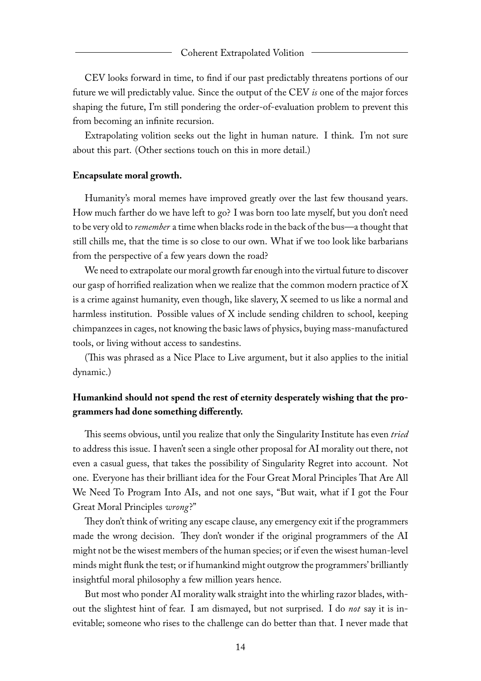CEV looks forward in time, to find if our past predictably threatens portions of our future we will predictably value. Since the output of the CEV *is* one of the major forces shaping the future, I'm still pondering the order-of-evaluation problem to prevent this from becoming an infinite recursion.

Extrapolating volition seeks out the light in human nature. I think. I'm not sure about this part. (Other sections touch on this in more detail.)

#### **Encapsulate moral growth.**

Humanity's moral memes have improved greatly over the last few thousand years. How much farther do we have left to go? I was born too late myself, but you don't need to be very old to *remember* a time when blacks rode in the back of the bus—a thought that still chills me, that the time is so close to our own. What if we too look like barbarians from the perspective of a few years down the road?

We need to extrapolate our moral growth far enough into the virtual future to discover our gasp of horrified realization when we realize that the common modern practice of X is a crime against humanity, even though, like slavery, X seemed to us like a normal and harmless institution. Possible values of X include sending children to school, keeping chimpanzees in cages, not knowing the basic laws of physics, buying mass-manufactured tools, or living without access to sandestins.

(This was phrased as a Nice Place to Live argument, but it also applies to the initial dynamic.)

# **Humankind should not spend the rest of eternity desperately wishing that the programmers had done something differently.**

This seems obvious, until you realize that only the Singularity Institute has even *tried* to address this issue. I haven't seen a single other proposal for AI morality out there, not even a casual guess, that takes the possibility of Singularity Regret into account. Not one. Everyone has their brilliant idea for the Four Great Moral Principles That Are All We Need To Program Into AIs, and not one says, "But wait, what if I got the Four Great Moral Principles *wrong*?"

They don't think of writing any escape clause, any emergency exit if the programmers made the wrong decision. They don't wonder if the original programmers of the AI might not be the wisest members of the human species; or if even the wisest human-level minds might flunk the test; or if humankind might outgrow the programmers' brilliantly insightful moral philosophy a few million years hence.

But most who ponder AI morality walk straight into the whirling razor blades, without the slightest hint of fear. I am dismayed, but not surprised. I do *not* say it is inevitable; someone who rises to the challenge can do better than that. I never made that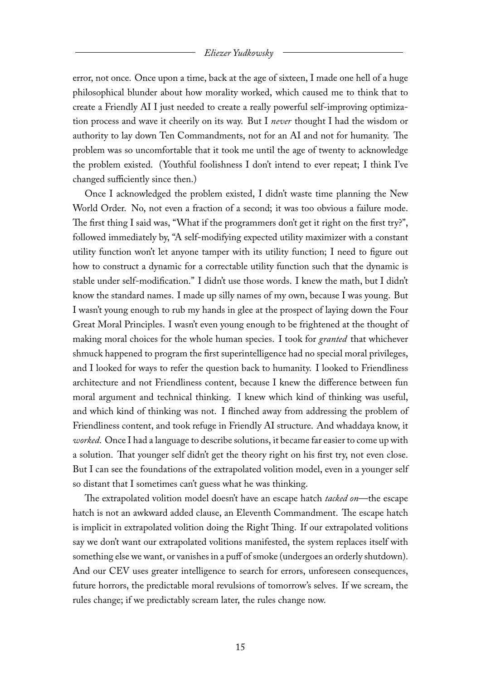error, not once. Once upon a time, back at the age of sixteen, I made one hell of a huge philosophical blunder about how morality worked, which caused me to think that to create a Friendly AI I just needed to create a really powerful self-improving optimization process and wave it cheerily on its way. But I *never* thought I had the wisdom or authority to lay down Ten Commandments, not for an AI and not for humanity. The problem was so uncomfortable that it took me until the age of twenty to acknowledge the problem existed. (Youthful foolishness I don't intend to ever repeat; I think I've changed sufficiently since then.)

Once I acknowledged the problem existed, I didn't waste time planning the New World Order. No, not even a fraction of a second; it was too obvious a failure mode. The first thing I said was, "What if the programmers don't get it right on the first try?", followed immediately by, "A self-modifying expected utility maximizer with a constant utility function won't let anyone tamper with its utility function; I need to figure out how to construct a dynamic for a correctable utility function such that the dynamic is stable under self-modification." I didn't use those words. I knew the math, but I didn't know the standard names. I made up silly names of my own, because I was young. But I wasn't young enough to rub my hands in glee at the prospect of laying down the Four Great Moral Principles. I wasn't even young enough to be frightened at the thought of making moral choices for the whole human species. I took for *granted* that whichever shmuck happened to program the first superintelligence had no special moral privileges, and I looked for ways to refer the question back to humanity. I looked to Friendliness architecture and not Friendliness content, because I knew the difference between fun moral argument and technical thinking. I knew which kind of thinking was useful, and which kind of thinking was not. I flinched away from addressing the problem of Friendliness content, and took refuge in Friendly AI structure. And whaddaya know, it *worked*. Once I had a language to describe solutions, it became far easier to come up with a solution. That younger self didn't get the theory right on his first try, not even close. But I can see the foundations of the extrapolated volition model, even in a younger self so distant that I sometimes can't guess what he was thinking.

The extrapolated volition model doesn't have an escape hatch *tacked on*—the escape hatch is not an awkward added clause, an Eleventh Commandment. The escape hatch is implicit in extrapolated volition doing the Right Thing. If our extrapolated volitions say we don't want our extrapolated volitions manifested, the system replaces itself with something else we want, or vanishes in a puff of smoke (undergoes an orderly shutdown). And our CEV uses greater intelligence to search for errors, unforeseen consequences, future horrors, the predictable moral revulsions of tomorrow's selves. If we scream, the rules change; if we predictably scream later, the rules change now.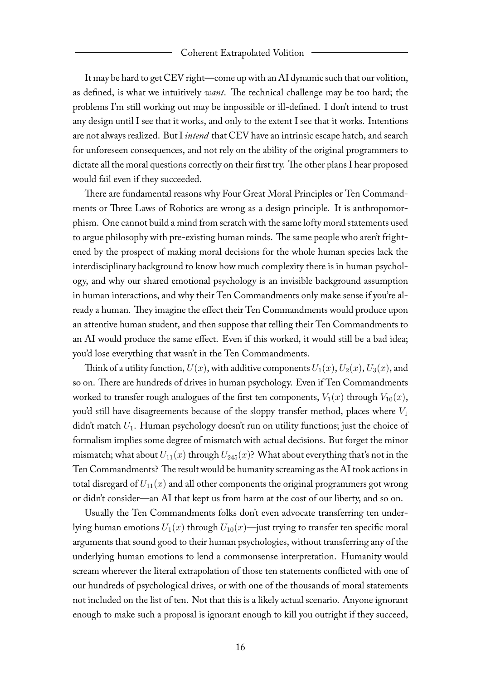It may be hard to get CEV right—come up with an AI dynamic such that our volition, as defined, is what we intuitively *want*. The technical challenge may be too hard; the problems I'm still working out may be impossible or ill-defined. I don't intend to trust any design until I see that it works, and only to the extent I see that it works. Intentions are not always realized. But I *intend* that CEV have an intrinsic escape hatch, and search for unforeseen consequences, and not rely on the ability of the original programmers to dictate all the moral questions correctly on their first try. The other plans I hear proposed would fail even if they succeeded.

There are fundamental reasons why Four Great Moral Principles or Ten Commandments or Three Laws of Robotics are wrong as a design principle. It is anthropomorphism. One cannot build a mind from scratch with the same lofty moral statements used to argue philosophy with pre-existing human minds. The same people who aren't frightened by the prospect of making moral decisions for the whole human species lack the interdisciplinary background to know how much complexity there is in human psychology, and why our shared emotional psychology is an invisible background assumption in human interactions, and why their Ten Commandments only make sense if you're already a human. They imagine the effect their Ten Commandments would produce upon an attentive human student, and then suppose that telling their Ten Commandments to an AI would produce the same effect. Even if this worked, it would still be a bad idea; you'd lose everything that wasn't in the Ten Commandments.

Think of a utility function,  $U(x)$ , with additive components  $U_1(x)$ ,  $U_2(x)$ ,  $U_3(x)$ , and so on. There are hundreds of drives in human psychology. Even if Ten Commandments worked to transfer rough analogues of the first ten components,  $V_1(x)$  through  $V_{10}(x)$ , you'd still have disagreements because of the sloppy transfer method, places where  $V_1$ didn't match  $U_1$ . Human psychology doesn't run on utility functions; just the choice of formalism implies some degree of mismatch with actual decisions. But forget the minor mismatch; what about  $U_{11}(x)$  through  $U_{245}(x)$ ? What about everything that's not in the Ten Commandments? The result would be humanity screaming as the AI took actions in total disregard of  $U_{11}(x)$  and all other components the original programmers got wrong or didn't consider—an AI that kept us from harm at the cost of our liberty, and so on.

Usually the Ten Commandments folks don't even advocate transferring ten underlying human emotions  $U_1(x)$  through  $U_{10}(x)$ —just trying to transfer ten specific moral arguments that sound good to their human psychologies, without transferring any of the underlying human emotions to lend a commonsense interpretation. Humanity would scream wherever the literal extrapolation of those ten statements conflicted with one of our hundreds of psychological drives, or with one of the thousands of moral statements not included on the list of ten. Not that this is a likely actual scenario. Anyone ignorant enough to make such a proposal is ignorant enough to kill you outright if they succeed,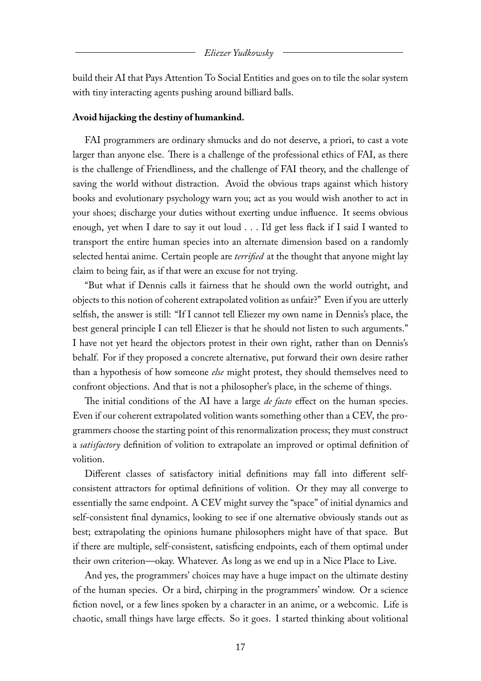build their AI that Pays Attention To Social Entities and goes on to tile the solar system with tiny interacting agents pushing around billiard balls.

#### **Avoid hijacking the destiny of humankind.**

FAI programmers are ordinary shmucks and do not deserve, a priori, to cast a vote larger than anyone else. There is a challenge of the professional ethics of FAI, as there is the challenge of Friendliness, and the challenge of FAI theory, and the challenge of saving the world without distraction. Avoid the obvious traps against which history books and evolutionary psychology warn you; act as you would wish another to act in your shoes; discharge your duties without exerting undue influence. It seems obvious enough, yet when I dare to say it out loud . . . I'd get less flack if I said I wanted to transport the entire human species into an alternate dimension based on a randomly selected hentai anime. Certain people are *terrified* at the thought that anyone might lay claim to being fair, as if that were an excuse for not trying.

"But what if Dennis calls it fairness that he should own the world outright, and objects to this notion of coherent extrapolated volition as unfair?" Even if you are utterly selfish, the answer is still: "If I cannot tell Eliezer my own name in Dennis's place, the best general principle I can tell Eliezer is that he should not listen to such arguments." I have not yet heard the objectors protest in their own right, rather than on Dennis's behalf. For if they proposed a concrete alternative, put forward their own desire rather than a hypothesis of how someone *else* might protest, they should themselves need to confront objections. And that is not a philosopher's place, in the scheme of things.

The initial conditions of the AI have a large *de facto* effect on the human species. Even if our coherent extrapolated volition wants something other than a CEV, the programmers choose the starting point of this renormalization process; they must construct a *satisfactory* definition of volition to extrapolate an improved or optimal definition of volition.

Different classes of satisfactory initial definitions may fall into different selfconsistent attractors for optimal definitions of volition. Or they may all converge to essentially the same endpoint. A CEV might survey the "space" of initial dynamics and self-consistent final dynamics, looking to see if one alternative obviously stands out as best; extrapolating the opinions humane philosophers might have of that space. But if there are multiple, self-consistent, satisficing endpoints, each of them optimal under their own criterion—okay. Whatever. As long as we end up in a Nice Place to Live.

And yes, the programmers' choices may have a huge impact on the ultimate destiny of the human species. Or a bird, chirping in the programmers' window. Or a science fiction novel, or a few lines spoken by a character in an anime, or a webcomic. Life is chaotic, small things have large effects. So it goes. I started thinking about volitional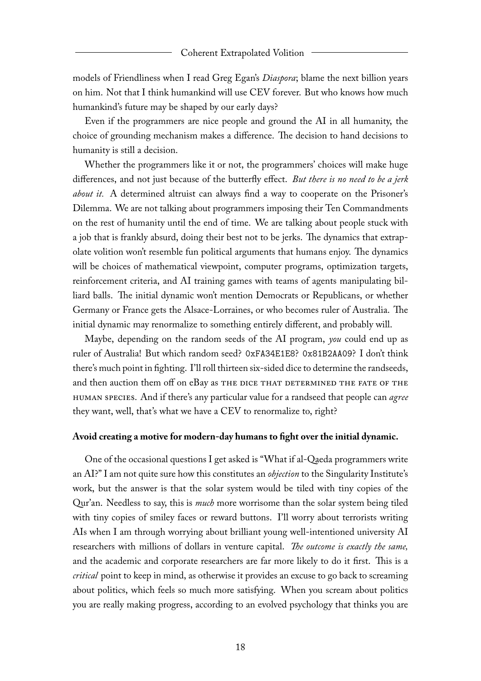models of Friendliness when I read Greg Egan's *Diaspora*; blame the next billion years on him. Not that I think humankind will use CEV forever. But who knows how much humankind's future may be shaped by our early days?

Even if the programmers are nice people and ground the AI in all humanity, the choice of grounding mechanism makes a difference. The decision to hand decisions to humanity is still a decision.

Whether the programmers like it or not, the programmers' choices will make huge differences, and not just because of the butterfly effect. *But there is no need to be a jerk about it.* A determined altruist can always find a way to cooperate on the Prisoner's Dilemma. We are not talking about programmers imposing their Ten Commandments on the rest of humanity until the end of time. We are talking about people stuck with a job that is frankly absurd, doing their best not to be jerks. The dynamics that extrapolate volition won't resemble fun political arguments that humans enjoy. The dynamics will be choices of mathematical viewpoint, computer programs, optimization targets, reinforcement criteria, and AI training games with teams of agents manipulating billiard balls. The initial dynamic won't mention Democrats or Republicans, or whether Germany or France gets the Alsace-Lorraines, or who becomes ruler of Australia. The initial dynamic may renormalize to something entirely different, and probably will.

Maybe, depending on the random seeds of the AI program, *you* could end up as ruler of Australia! But which random seed? 0xFA34E1E8? 0x81B2AA09? I don't think there's much point in fighting. I'll roll thirteen six-sided dice to determine the randseeds, and then auction them off on eBay as THE DICE THAT DETERMINED THE FATE OF THE human species. And if there's any particular value for a randseed that people can *agree* they want, well, that's what we have a CEV to renormalize to, right?

#### **Avoid creating a motive for modern-day humans to fight over the initial dynamic.**

One of the occasional questions I get asked is "What if al-Qaeda programmers write an AI?" I am not quite sure how this constitutes an *objection* to the Singularity Institute's work, but the answer is that the solar system would be tiled with tiny copies of the Qur'an. Needless to say, this is *much* more worrisome than the solar system being tiled with tiny copies of smiley faces or reward buttons. I'll worry about terrorists writing AIs when I am through worrying about brilliant young well-intentioned university AI researchers with millions of dollars in venture capital. *The outcome is exactly the same,* and the academic and corporate researchers are far more likely to do it first. This is a *critical* point to keep in mind, as otherwise it provides an excuse to go back to screaming about politics, which feels so much more satisfying. When you scream about politics you are really making progress, according to an evolved psychology that thinks you are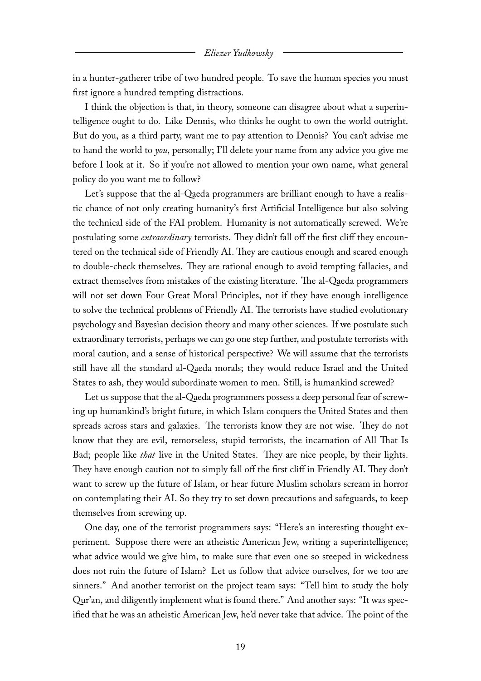in a hunter-gatherer tribe of two hundred people. To save the human species you must first ignore a hundred tempting distractions.

I think the objection is that, in theory, someone can disagree about what a superintelligence ought to do. Like Dennis, who thinks he ought to own the world outright. But do you, as a third party, want me to pay attention to Dennis? You can't advise me to hand the world to *you*, personally; I'll delete your name from any advice you give me before I look at it. So if you're not allowed to mention your own name, what general policy do you want me to follow?

Let's suppose that the al-Qaeda programmers are brilliant enough to have a realistic chance of not only creating humanity's first Artificial Intelligence but also solving the technical side of the FAI problem. Humanity is not automatically screwed. We're postulating some *extraordinary* terrorists. They didn't fall off the first cliff they encountered on the technical side of Friendly AI. They are cautious enough and scared enough to double-check themselves. They are rational enough to avoid tempting fallacies, and extract themselves from mistakes of the existing literature. The al-Qaeda programmers will not set down Four Great Moral Principles, not if they have enough intelligence to solve the technical problems of Friendly AI. The terrorists have studied evolutionary psychology and Bayesian decision theory and many other sciences. If we postulate such extraordinary terrorists, perhaps we can go one step further, and postulate terrorists with moral caution, and a sense of historical perspective? We will assume that the terrorists still have all the standard al-Qaeda morals; they would reduce Israel and the United States to ash, they would subordinate women to men. Still, is humankind screwed?

Let us suppose that the al-Qaeda programmers possess a deep personal fear of screwing up humankind's bright future, in which Islam conquers the United States and then spreads across stars and galaxies. The terrorists know they are not wise. They do not know that they are evil, remorseless, stupid terrorists, the incarnation of All That Is Bad; people like *that* live in the United States. They are nice people, by their lights. They have enough caution not to simply fall off the first cliff in Friendly AI. They don't want to screw up the future of Islam, or hear future Muslim scholars scream in horror on contemplating their AI. So they try to set down precautions and safeguards, to keep themselves from screwing up.

One day, one of the terrorist programmers says: "Here's an interesting thought experiment. Suppose there were an atheistic American Jew, writing a superintelligence; what advice would we give him, to make sure that even one so steeped in wickedness does not ruin the future of Islam? Let us follow that advice ourselves, for we too are sinners." And another terrorist on the project team says: "Tell him to study the holy Qur'an, and diligently implement what is found there." And another says: "It was specified that he was an atheistic American Jew, he'd never take that advice. The point of the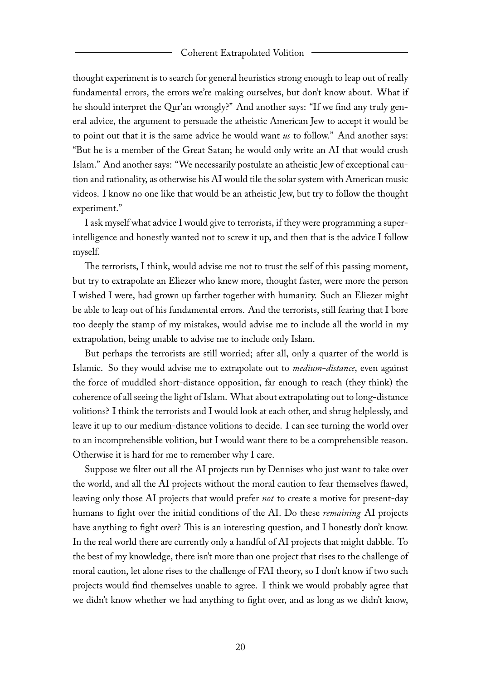#### Coherent Extrapolated Volition

thought experiment is to search for general heuristics strong enough to leap out of really fundamental errors, the errors we're making ourselves, but don't know about. What if he should interpret the Qur'an wrongly?" And another says: "If we find any truly general advice, the argument to persuade the atheistic American Jew to accept it would be to point out that it is the same advice he would want *us* to follow." And another says: "But he is a member of the Great Satan; he would only write an AI that would crush Islam." And another says: "We necessarily postulate an atheistic Jew of exceptional caution and rationality, as otherwise his AI would tile the solar system with American music videos. I know no one like that would be an atheistic Jew, but try to follow the thought experiment."

I ask myself what advice I would give to terrorists, if they were programming a superintelligence and honestly wanted not to screw it up, and then that is the advice I follow myself.

The terrorists, I think, would advise me not to trust the self of this passing moment, but try to extrapolate an Eliezer who knew more, thought faster, were more the person I wished I were, had grown up farther together with humanity. Such an Eliezer might be able to leap out of his fundamental errors. And the terrorists, still fearing that I bore too deeply the stamp of my mistakes, would advise me to include all the world in my extrapolation, being unable to advise me to include only Islam.

But perhaps the terrorists are still worried; after all, only a quarter of the world is Islamic. So they would advise me to extrapolate out to *medium-distance*, even against the force of muddled short-distance opposition, far enough to reach (they think) the coherence of all seeing the light of Islam. What about extrapolating out to long-distance volitions? I think the terrorists and I would look at each other, and shrug helplessly, and leave it up to our medium-distance volitions to decide. I can see turning the world over to an incomprehensible volition, but I would want there to be a comprehensible reason. Otherwise it is hard for me to remember why I care.

Suppose we filter out all the AI projects run by Dennises who just want to take over the world, and all the AI projects without the moral caution to fear themselves flawed, leaving only those AI projects that would prefer *not* to create a motive for present-day humans to fight over the initial conditions of the AI. Do these *remaining* AI projects have anything to fight over? This is an interesting question, and I honestly don't know. In the real world there are currently only a handful of AI projects that might dabble. To the best of my knowledge, there isn't more than one project that rises to the challenge of moral caution, let alone rises to the challenge of FAI theory, so I don't know if two such projects would find themselves unable to agree. I think we would probably agree that we didn't know whether we had anything to fight over, and as long as we didn't know,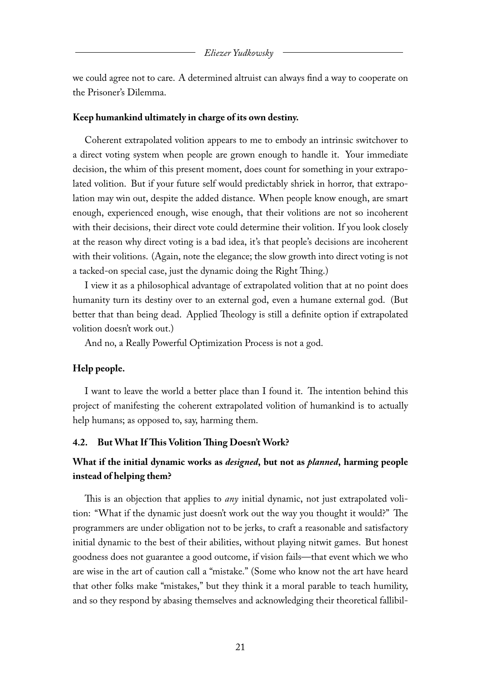we could agree not to care. A determined altruist can always find a way to cooperate on the Prisoner's Dilemma.

#### **Keep humankind ultimately in charge of its own destiny.**

Coherent extrapolated volition appears to me to embody an intrinsic switchover to a direct voting system when people are grown enough to handle it. Your immediate decision, the whim of this present moment, does count for something in your extrapolated volition. But if your future self would predictably shriek in horror, that extrapolation may win out, despite the added distance. When people know enough, are smart enough, experienced enough, wise enough, that their volitions are not so incoherent with their decisions, their direct vote could determine their volition. If you look closely at the reason why direct voting is a bad idea, it's that people's decisions are incoherent with their volitions. (Again, note the elegance; the slow growth into direct voting is not a tacked-on special case, just the dynamic doing the Right Thing.)

I view it as a philosophical advantage of extrapolated volition that at no point does humanity turn its destiny over to an external god, even a humane external god. (But better that than being dead. Applied Theology is still a definite option if extrapolated volition doesn't work out.)

And no, a Really Powerful Optimization Process is not a god.

#### **Help people.**

I want to leave the world a better place than I found it. The intention behind this project of manifesting the coherent extrapolated volition of humankind is to actually help humans; as opposed to, say, harming them.

#### **4.2. But What If This Volition Thing Doesn't Work?**

# **What if the initial dynamic works as** *designed***, but not as** *planned***, harming people instead of helping them?**

This is an objection that applies to *any* initial dynamic, not just extrapolated volition: "What if the dynamic just doesn't work out the way you thought it would?" The programmers are under obligation not to be jerks, to craft a reasonable and satisfactory initial dynamic to the best of their abilities, without playing nitwit games. But honest goodness does not guarantee a good outcome, if vision fails—that event which we who are wise in the art of caution call a "mistake." (Some who know not the art have heard that other folks make "mistakes," but they think it a moral parable to teach humility, and so they respond by abasing themselves and acknowledging their theoretical fallibil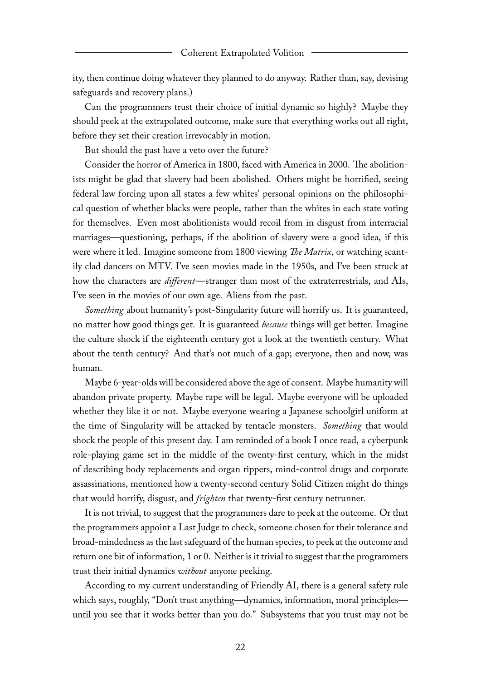ity, then continue doing whatever they planned to do anyway. Rather than, say, devising safeguards and recovery plans.)

Can the programmers trust their choice of initial dynamic so highly? Maybe they should peek at the extrapolated outcome, make sure that everything works out all right, before they set their creation irrevocably in motion.

But should the past have a veto over the future?

Consider the horror of America in 1800, faced with America in 2000. The abolitionists might be glad that slavery had been abolished. Others might be horrified, seeing federal law forcing upon all states a few whites' personal opinions on the philosophical question of whether blacks were people, rather than the whites in each state voting for themselves. Even most abolitionists would recoil from in disgust from interracial marriages—questioning, perhaps, if the abolition of slavery were a good idea, if this were where it led. Imagine someone from 1800 viewing *The Matrix*, or watching scantily clad dancers on MTV. I've seen movies made in the 1950s, and I've been struck at how the characters are *different*—stranger than most of the extraterrestrials, and AIs, I've seen in the movies of our own age. Aliens from the past.

*Something* about humanity's post-Singularity future will horrify us. It is guaranteed, no matter how good things get. It is guaranteed *because* things will get better. Imagine the culture shock if the eighteenth century got a look at the twentieth century. What about the tenth century? And that's not much of a gap; everyone, then and now, was human.

Maybe 6-year-olds will be considered above the age of consent. Maybe humanity will abandon private property. Maybe rape will be legal. Maybe everyone will be uploaded whether they like it or not. Maybe everyone wearing a Japanese schoolgirl uniform at the time of Singularity will be attacked by tentacle monsters. *Something* that would shock the people of this present day. I am reminded of a book I once read, a cyberpunk role-playing game set in the middle of the twenty-first century, which in the midst of describing body replacements and organ rippers, mind-control drugs and corporate assassinations, mentioned how a twenty-second century Solid Citizen might do things that would horrify, disgust, and *frighten* that twenty-first century netrunner.

It is not trivial, to suggest that the programmers dare to peek at the outcome. Or that the programmers appoint a Last Judge to check, someone chosen for their tolerance and broad-mindedness as the last safeguard of the human species, to peek at the outcome and return one bit of information, 1 or 0. Neither is it trivial to suggest that the programmers trust their initial dynamics *without* anyone peeking.

According to my current understanding of Friendly AI, there is a general safety rule which says, roughly, "Don't trust anything—dynamics, information, moral principles until you see that it works better than you do." Subsystems that you trust may not be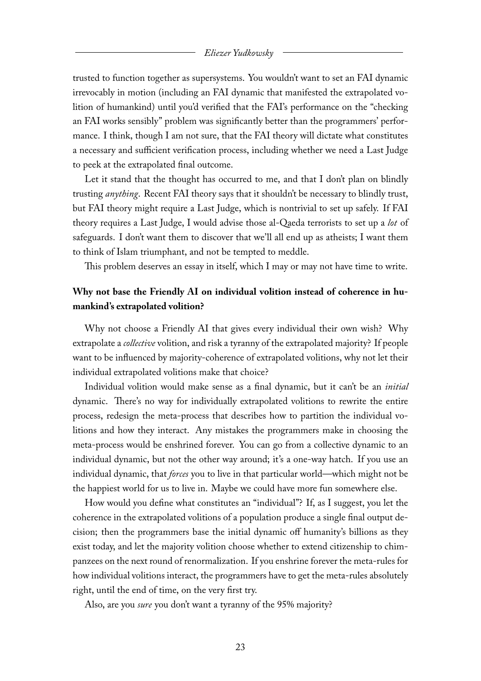trusted to function together as supersystems. You wouldn't want to set an FAI dynamic irrevocably in motion (including an FAI dynamic that manifested the extrapolated volition of humankind) until you'd verified that the FAI's performance on the "checking an FAI works sensibly" problem was significantly better than the programmers' performance. I think, though I am not sure, that the FAI theory will dictate what constitutes a necessary and sufficient verification process, including whether we need a Last Judge to peek at the extrapolated final outcome.

Let it stand that the thought has occurred to me, and that I don't plan on blindly trusting *anything*. Recent FAI theory says that it shouldn't be necessary to blindly trust, but FAI theory might require a Last Judge, which is nontrivial to set up safely. If FAI theory requires a Last Judge, I would advise those al-Qaeda terrorists to set up a *lot* of safeguards. I don't want them to discover that we'll all end up as atheists; I want them to think of Islam triumphant, and not be tempted to meddle.

This problem deserves an essay in itself, which I may or may not have time to write.

# **Why not base the Friendly AI on individual volition instead of coherence in humankind's extrapolated volition?**

Why not choose a Friendly AI that gives every individual their own wish? Why extrapolate a *collective* volition, and risk a tyranny of the extrapolated majority? If people want to be influenced by majority-coherence of extrapolated volitions, why not let their individual extrapolated volitions make that choice?

Individual volition would make sense as a final dynamic, but it can't be an *initial* dynamic. There's no way for individually extrapolated volitions to rewrite the entire process, redesign the meta-process that describes how to partition the individual volitions and how they interact. Any mistakes the programmers make in choosing the meta-process would be enshrined forever. You can go from a collective dynamic to an individual dynamic, but not the other way around; it's a one-way hatch. If you use an individual dynamic, that *forces* you to live in that particular world—which might not be the happiest world for us to live in. Maybe we could have more fun somewhere else.

How would you define what constitutes an "individual"? If, as I suggest, you let the coherence in the extrapolated volitions of a population produce a single final output decision; then the programmers base the initial dynamic off humanity's billions as they exist today, and let the majority volition choose whether to extend citizenship to chimpanzees on the next round of renormalization. If you enshrine forever the meta-rules for how individual volitions interact, the programmers have to get the meta-rules absolutely right, until the end of time, on the very first try.

Also, are you *sure* you don't want a tyranny of the 95% majority?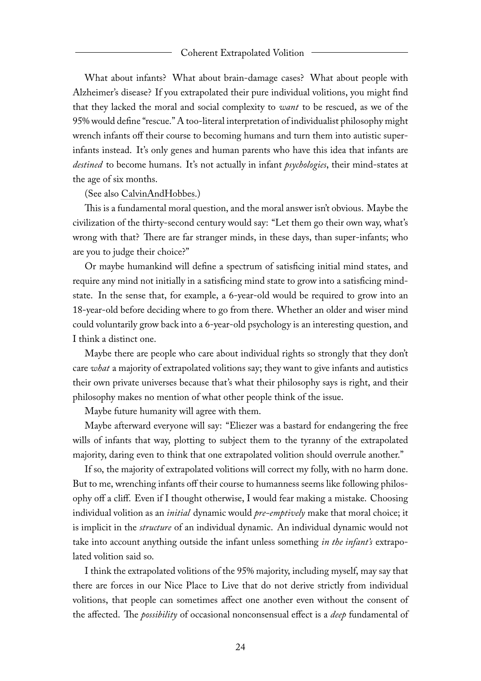What about infants? What about brain-damage cases? What about people with Alzheimer's disease? If you extrapolated their pure individual volitions, you might find that they lacked the moral and social complexity to *want* to be rescued, as we of the 95% would define "rescue." A too-literal interpretation of individualist philosophy might wrench infants off their course to becoming humans and turn them into autistic superinfants instead. It's only genes and human parents who have this idea that infants are *destined* to become humans. It's not actually in infant *psychologies*, their mind-states at the age of six months.

(See also [CalvinAndHobbes.](http://sl4.org/wiki/CalvinAndHobbes))

This is a fundamental moral question, and the moral answer isn't obvious. Maybe the civilization of the thirty-second century would say: "Let them go their own way, what's wrong with that? There are far stranger minds, in these days, than super-infants; who are you to judge their choice?"

Or maybe humankind will define a spectrum of satisficing initial mind states, and require any mind not initially in a satisficing mind state to grow into a satisficing mindstate. In the sense that, for example, a 6-year-old would be required to grow into an 18-year-old before deciding where to go from there. Whether an older and wiser mind could voluntarily grow back into a 6-year-old psychology is an interesting question, and I think a distinct one.

Maybe there are people who care about individual rights so strongly that they don't care *what* a majority of extrapolated volitions say; they want to give infants and autistics their own private universes because that's what their philosophy says is right, and their philosophy makes no mention of what other people think of the issue.

Maybe future humanity will agree with them.

Maybe afterward everyone will say: "Eliezer was a bastard for endangering the free wills of infants that way, plotting to subject them to the tyranny of the extrapolated majority, daring even to think that one extrapolated volition should overrule another."

If so, the majority of extrapolated volitions will correct my folly, with no harm done. But to me, wrenching infants off their course to humanness seems like following philosophy off a cliff. Even if I thought otherwise, I would fear making a mistake. Choosing individual volition as an *initial* dynamic would *pre-emptively* make that moral choice; it is implicit in the *structure* of an individual dynamic. An individual dynamic would not take into account anything outside the infant unless something *in the infant's* extrapolated volition said so.

I think the extrapolated volitions of the 95% majority, including myself, may say that there are forces in our Nice Place to Live that do not derive strictly from individual volitions, that people can sometimes affect one another even without the consent of the affected. The *possibility* of occasional nonconsensual effect is a *deep* fundamental of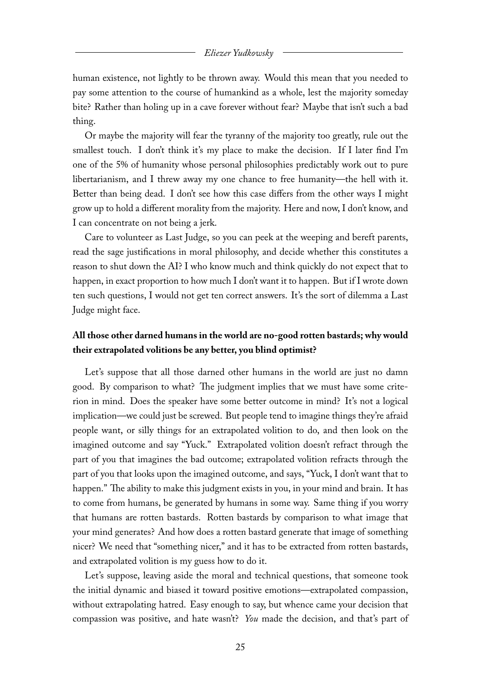#### *Eliezer Yudkowsky*

human existence, not lightly to be thrown away. Would this mean that you needed to pay some attention to the course of humankind as a whole, lest the majority someday bite? Rather than holing up in a cave forever without fear? Maybe that isn't such a bad thing.

Or maybe the majority will fear the tyranny of the majority too greatly, rule out the smallest touch. I don't think it's my place to make the decision. If I later find I'm one of the 5% of humanity whose personal philosophies predictably work out to pure libertarianism, and I threw away my one chance to free humanity—the hell with it. Better than being dead. I don't see how this case differs from the other ways I might grow up to hold a different morality from the majority. Here and now, I don't know, and I can concentrate on not being a jerk.

Care to volunteer as Last Judge, so you can peek at the weeping and bereft parents, read the sage justifications in moral philosophy, and decide whether this constitutes a reason to shut down the AI? I who know much and think quickly do not expect that to happen, in exact proportion to how much I don't want it to happen. But if I wrote down ten such questions, I would not get ten correct answers. It's the sort of dilemma a Last Judge might face.

# **All those other darned humans in the world are no-good rotten bastards; why would their extrapolated volitions be any better, you blind optimist?**

Let's suppose that all those darned other humans in the world are just no damn good. By comparison to what? The judgment implies that we must have some criterion in mind. Does the speaker have some better outcome in mind? It's not a logical implication—we could just be screwed. But people tend to imagine things they're afraid people want, or silly things for an extrapolated volition to do, and then look on the imagined outcome and say "Yuck." Extrapolated volition doesn't refract through the part of you that imagines the bad outcome; extrapolated volition refracts through the part of you that looks upon the imagined outcome, and says, "Yuck, I don't want that to happen." The ability to make this judgment exists in you, in your mind and brain. It has to come from humans, be generated by humans in some way. Same thing if you worry that humans are rotten bastards. Rotten bastards by comparison to what image that your mind generates? And how does a rotten bastard generate that image of something nicer? We need that "something nicer," and it has to be extracted from rotten bastards, and extrapolated volition is my guess how to do it.

Let's suppose, leaving aside the moral and technical questions, that someone took the initial dynamic and biased it toward positive emotions—extrapolated compassion, without extrapolating hatred. Easy enough to say, but whence came your decision that compassion was positive, and hate wasn't? *You* made the decision, and that's part of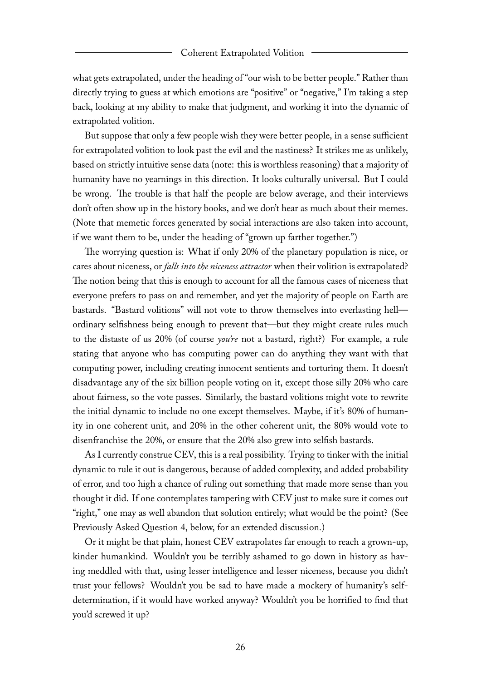#### Coherent Extrapolated Volition

what gets extrapolated, under the heading of "our wish to be better people." Rather than directly trying to guess at which emotions are "positive" or "negative," I'm taking a step back, looking at my ability to make that judgment, and working it into the dynamic of extrapolated volition.

But suppose that only a few people wish they were better people, in a sense sufficient for extrapolated volition to look past the evil and the nastiness? It strikes me as unlikely, based on strictly intuitive sense data (note: this is worthless reasoning) that a majority of humanity have no yearnings in this direction. It looks culturally universal. But I could be wrong. The trouble is that half the people are below average, and their interviews don't often show up in the history books, and we don't hear as much about their memes. (Note that memetic forces generated by social interactions are also taken into account, if we want them to be, under the heading of "grown up farther together.")

The worrying question is: What if only 20% of the planetary population is nice, or cares about niceness, or *falls into the niceness attractor* when their volition is extrapolated? The notion being that this is enough to account for all the famous cases of niceness that everyone prefers to pass on and remember, and yet the majority of people on Earth are bastards. "Bastard volitions" will not vote to throw themselves into everlasting hell ordinary selfishness being enough to prevent that—but they might create rules much to the distaste of us 20% (of course *you're* not a bastard, right?) For example, a rule stating that anyone who has computing power can do anything they want with that computing power, including creating innocent sentients and torturing them. It doesn't disadvantage any of the six billion people voting on it, except those silly 20% who care about fairness, so the vote passes. Similarly, the bastard volitions might vote to rewrite the initial dynamic to include no one except themselves. Maybe, if it's 80% of humanity in one coherent unit, and 20% in the other coherent unit, the 80% would vote to disenfranchise the 20%, or ensure that the 20% also grew into selfish bastards.

As I currently construe CEV, this is a real possibility. Trying to tinker with the initial dynamic to rule it out is dangerous, because of added complexity, and added probability of error, and too high a chance of ruling out something that made more sense than you thought it did. If one contemplates tampering with CEV just to make sure it comes out "right," one may as well abandon that solution entirely; what would be the point? (See Previously Asked Question 4, below, for an extended discussion.)

Or it might be that plain, honest CEV extrapolates far enough to reach a grown-up, kinder humankind. Wouldn't you be terribly ashamed to go down in history as having meddled with that, using lesser intelligence and lesser niceness, because you didn't trust your fellows? Wouldn't you be sad to have made a mockery of humanity's selfdetermination, if it would have worked anyway? Wouldn't you be horrified to find that you'd screwed it up?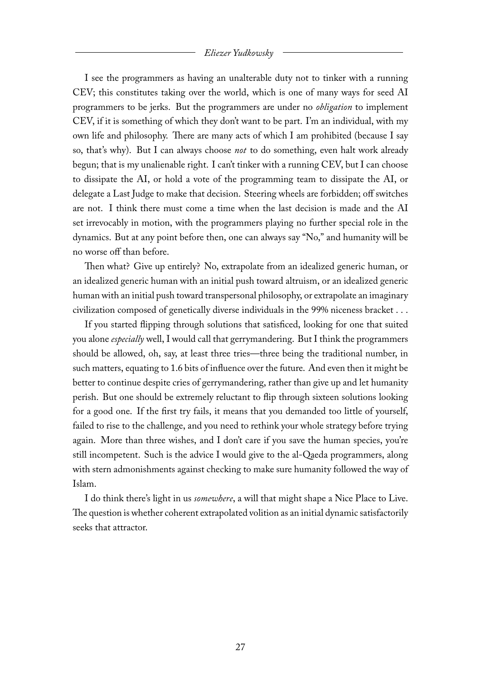## *Eliezer Yudkowsky*

I see the programmers as having an unalterable duty not to tinker with a running CEV; this constitutes taking over the world, which is one of many ways for seed AI programmers to be jerks. But the programmers are under no *obligation* to implement CEV, if it is something of which they don't want to be part. I'm an individual, with my own life and philosophy. There are many acts of which I am prohibited (because I say so, that's why). But I can always choose *not* to do something, even halt work already begun; that is my unalienable right. I can't tinker with a running CEV, but I can choose to dissipate the AI, or hold a vote of the programming team to dissipate the AI, or delegate a Last Judge to make that decision. Steering wheels are forbidden; off switches are not. I think there must come a time when the last decision is made and the AI set irrevocably in motion, with the programmers playing no further special role in the dynamics. But at any point before then, one can always say "No," and humanity will be no worse off than before.

Then what? Give up entirely? No, extrapolate from an idealized generic human, or an idealized generic human with an initial push toward altruism, or an idealized generic human with an initial push toward transpersonal philosophy, or extrapolate an imaginary civilization composed of genetically diverse individuals in the 99% niceness bracket . . .

If you started flipping through solutions that satisficed, looking for one that suited you alone *especially* well, I would call that gerrymandering. But I think the programmers should be allowed, oh, say, at least three tries—three being the traditional number, in such matters, equating to 1.6 bits of influence over the future. And even then it might be better to continue despite cries of gerrymandering, rather than give up and let humanity perish. But one should be extremely reluctant to flip through sixteen solutions looking for a good one. If the first try fails, it means that you demanded too little of yourself, failed to rise to the challenge, and you need to rethink your whole strategy before trying again. More than three wishes, and I don't care if you save the human species, you're still incompetent. Such is the advice I would give to the al-Qaeda programmers, along with stern admonishments against checking to make sure humanity followed the way of Islam.

I do think there's light in us *somewhere*, a will that might shape a Nice Place to Live. The question is whether coherent extrapolated volition as an initial dynamic satisfactorily seeks that attractor.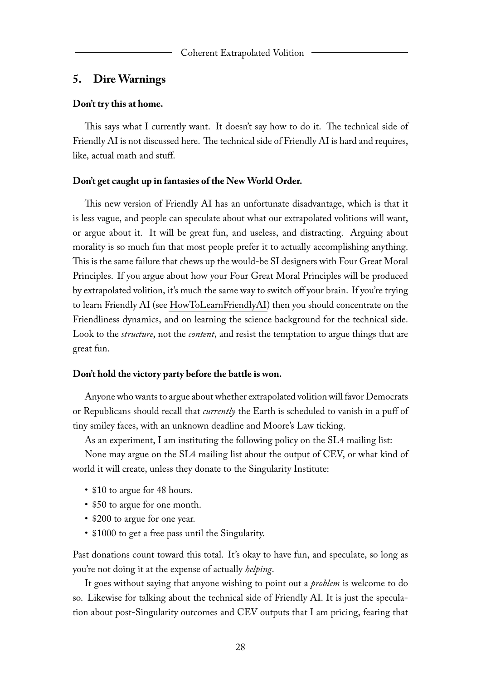# **5. Dire Warnings**

## **Don't try this at home.**

This says what I currently want. It doesn't say how to do it. The technical side of Friendly AI is not discussed here. The technical side of Friendly AI is hard and requires, like, actual math and stuff.

## **Don't get caught up in fantasies of the New World Order.**

This new version of Friendly AI has an unfortunate disadvantage, which is that it is less vague, and people can speculate about what our extrapolated volitions will want, or argue about it. It will be great fun, and useless, and distracting. Arguing about morality is so much fun that most people prefer it to actually accomplishing anything. This is the same failure that chews up the would-be SI designers with Four Great Moral Principles. If you argue about how your Four Great Moral Principles will be produced by extrapolated volition, it's much the same way to switch off your brain. If you're trying to learn Friendly AI (see [HowToLearnFriendlyAI\)](http://sl4.org/wiki/HowToLearnFriendlyAI) then you should concentrate on the Friendliness dynamics, and on learning the science background for the technical side. Look to the *structure*, not the *content*, and resist the temptation to argue things that are great fun.

## **Don't hold the victory party before the battle is won.**

Anyone who wants to argue about whether extrapolated volition will favor Democrats or Republicans should recall that *currently* the Earth is scheduled to vanish in a puff of tiny smiley faces, with an unknown deadline and Moore's Law ticking.

As an experiment, I am instituting the following policy on the SL4 mailing list:

None may argue on the SL4 mailing list about the output of CEV, or what kind of world it will create, unless they donate to the Singularity Institute:

- \$10 to argue for 48 hours.
- \$50 to argue for one month.
- \$200 to argue for one year.
- \$1000 to get a free pass until the Singularity.

Past donations count toward this total. It's okay to have fun, and speculate, so long as you're not doing it at the expense of actually *helping*.

It goes without saying that anyone wishing to point out a *problem* is welcome to do so. Likewise for talking about the technical side of Friendly AI. It is just the speculation about post-Singularity outcomes and CEV outputs that I am pricing, fearing that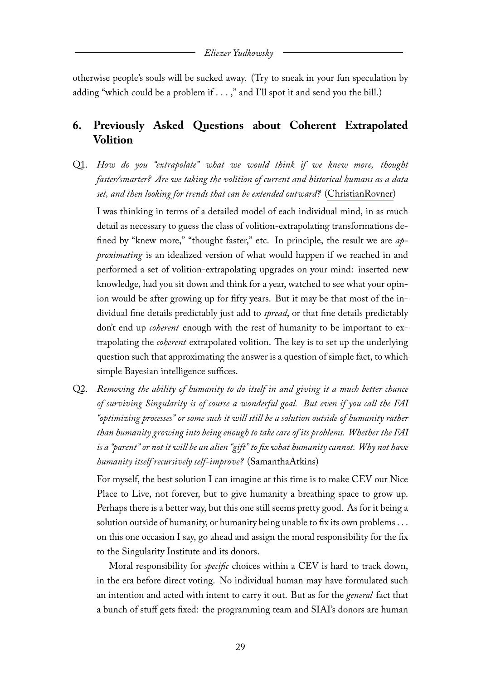otherwise people's souls will be sucked away. (Try to sneak in your fun speculation by adding "which could be a problem if  $\dots$ ," and I'll spot it and send you the bill.)

# **6. Previously Asked Questions about Coherent Extrapolated Volition**

Q1. *How do you "extrapolate" what we would think if we knew more, thought faster/smarter? Are we taking the volition of current and historical humans as a data set, and then looking for trends that can be extended outward?* [\(ChristianRovner\)](http://sl4.org/wiki/ChristianRovner)

I was thinking in terms of a detailed model of each individual mind, in as much detail as necessary to guess the class of volition-extrapolating transformations defined by "knew more," "thought faster," etc. In principle, the result we are *approximating* is an idealized version of what would happen if we reached in and performed a set of volition-extrapolating upgrades on your mind: inserted new knowledge, had you sit down and think for a year, watched to see what your opinion would be after growing up for fifty years. But it may be that most of the individual fine details predictably just add to *spread*, or that fine details predictably don't end up *coherent* enough with the rest of humanity to be important to extrapolating the *coherent* extrapolated volition. The key is to set up the underlying question such that approximating the answer is a question of simple fact, to which simple Bayesian intelligence suffices.

Q2. *Removing the ability of humanity to do itself in and giving it a much better chance of surviving Singularity is of course a wonderful goal. But even if you call the FAI "optimizing processes" or some such it will still be a solution outside of humanity rather than humanity growing into being enough to take care of its problems. Whether the FAI is a "parent" or not it will be an alien "gift" to fix what humanity cannot. Why not have humanity itself recursively self-improve?* (SamanthaAtkins)

For myself, the best solution I can imagine at this time is to make CEV our Nice Place to Live, not forever, but to give humanity a breathing space to grow up. Perhaps there is a better way, but this one still seems pretty good. As for it being a solution outside of humanity, or humanity being unable to fix its own problems . . . on this one occasion I say, go ahead and assign the moral responsibility for the fix to the Singularity Institute and its donors.

Moral responsibility for *specific* choices within a CEV is hard to track down, in the era before direct voting. No individual human may have formulated such an intention and acted with intent to carry it out. But as for the *general* fact that a bunch of stuff gets fixed: the programming team and SIAI's donors are human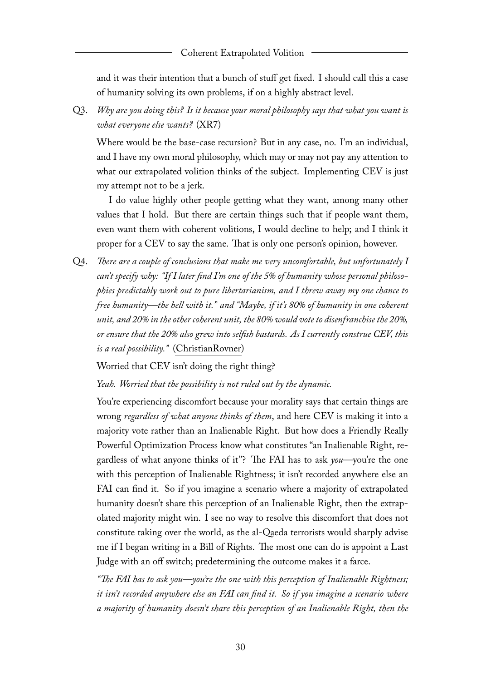## Coherent Extrapolated Volition

and it was their intention that a bunch of stuff get fixed. I should call this a case of humanity solving its own problems, if on a highly abstract level.

Q3. *Why are you doing this? Is it because your moral philosophy says that what you want is what everyone else wants?* (XR7)

Where would be the base-case recursion? But in any case, no. I'm an individual, and I have my own moral philosophy, which may or may not pay any attention to what our extrapolated volition thinks of the subject. Implementing CEV is just my attempt not to be a jerk.

I do value highly other people getting what they want, among many other values that I hold. But there are certain things such that if people want them, even want them with coherent volitions, I would decline to help; and I think it proper for a CEV to say the same. That is only one person's opinion, however.

Q4. *There are a couple of conclusions that make me very uncomfortable, but unfortunately I can't specify why: "If I later find I'm one of the 5% of humanity whose personal philosophies predictably work out to pure libertarianism, and I threw away my one chance to free humanity—the hell with it." and "Maybe, if it's 80% of humanity in one coherent unit, and 20% in the other coherent unit, the 80% would vote to disenfranchise the 20%, or ensure that the 20% also grew into selfish bastards. As I currently construe CEV, this is a real possibility."* [\(ChristianRovner\)](http://sl4.org/wiki/ChristianRovner)

Worried that CEV isn't doing the right thing?

*Yeah. Worried that the possibility is not ruled out by the dynamic.*

You're experiencing discomfort because your morality says that certain things are wrong *regardless of what anyone thinks of them*, and here CEV is making it into a majority vote rather than an Inalienable Right. But how does a Friendly Really Powerful Optimization Process know what constitutes "an Inalienable Right, regardless of what anyone thinks of it"? The FAI has to ask *you*—you're the one with this perception of Inalienable Rightness; it isn't recorded anywhere else an FAI can find it. So if you imagine a scenario where a majority of extrapolated humanity doesn't share this perception of an Inalienable Right, then the extrapolated majority might win. I see no way to resolve this discomfort that does not constitute taking over the world, as the al-Qaeda terrorists would sharply advise me if I began writing in a Bill of Rights. The most one can do is appoint a Last Judge with an off switch; predetermining the outcome makes it a farce.

*"The FAI has to ask you—you're the one with this perception of Inalienable Rightness; it isn't recorded anywhere else an FAI can find it. So if you imagine a scenario where a majority of humanity doesn't share this perception of an Inalienable Right, then the*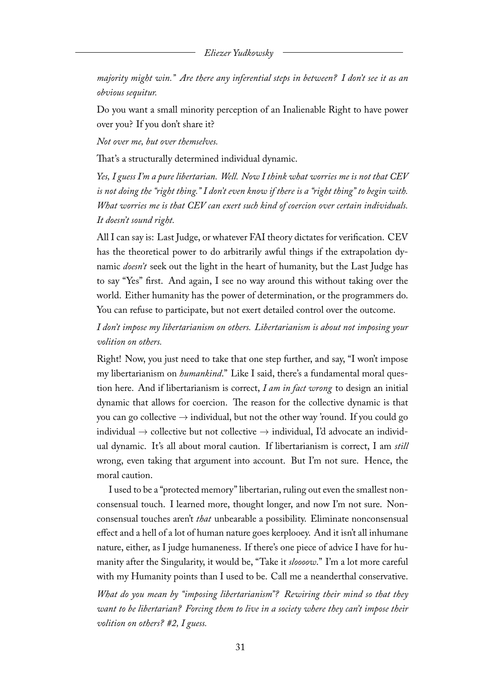*majority might win." Are there any inferential steps in between? I don't see it as an obvious sequitur.*

Do you want a small minority perception of an Inalienable Right to have power over you? If you don't share it?

*Not over me, but over themselves.*

That's a structurally determined individual dynamic.

*Yes, I guess I'm a pure libertarian. Well. Now I think what worries me is not that CEV is not doing the "right thing." I don't even know if there is a "right thing" to begin with. What worries me is that CEV can exert such kind of coercion over certain individuals. It doesn't sound right.*

All I can say is: Last Judge, or whatever FAI theory dictates for verification. CEV has the theoretical power to do arbitrarily awful things if the extrapolation dynamic *doesn't* seek out the light in the heart of humanity, but the Last Judge has to say "Yes" first. And again, I see no way around this without taking over the world. Either humanity has the power of determination, or the programmers do. You can refuse to participate, but not exert detailed control over the outcome.

*I don't impose my libertarianism on others. Libertarianism is about not imposing your volition on others.*

Right! Now, you just need to take that one step further, and say, "I won't impose my libertarianism on *humankind*." Like I said, there's a fundamental moral question here. And if libertarianism is correct, *I am in fact wrong* to design an initial dynamic that allows for coercion. The reason for the collective dynamic is that you can go collective  $\rightarrow$  individual, but not the other way 'round. If you could go individual  $\rightarrow$  collective but not collective  $\rightarrow$  individual, I'd advocate an individual dynamic. It's all about moral caution. If libertarianism is correct, I am *still* wrong, even taking that argument into account. But I'm not sure. Hence, the moral caution.

I used to be a "protected memory" libertarian, ruling out even the smallest nonconsensual touch. I learned more, thought longer, and now I'm not sure. Nonconsensual touches aren't *that* unbearable a possibility. Eliminate nonconsensual effect and a hell of a lot of human nature goes kerplooey. And it isn't all inhumane nature, either, as I judge humaneness. If there's one piece of advice I have for humanity after the Singularity, it would be, "Take it *sloooow*." I'm a lot more careful with my Humanity points than I used to be. Call me a neanderthal conservative.

*What do you mean by "imposing libertarianism"? Rewiring their mind so that they want to be libertarian? Forcing them to live in a society where they can't impose their volition on others? #2, I guess.*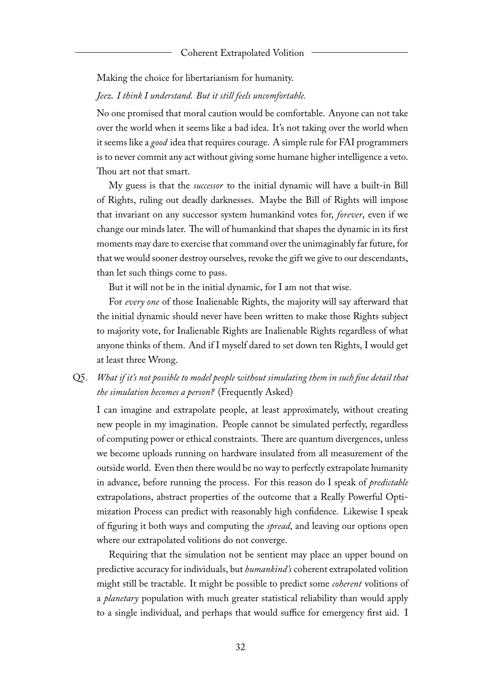Making the choice for libertarianism for humanity.

*Jeez. I think I understand. But it still feels uncomfortable.*

No one promised that moral caution would be comfortable. Anyone can not take over the world when it seems like a bad idea. It's not taking over the world when it seems like a *good* idea that requires courage. A simple rule for FAI programmers is to never commit any act without giving some humane higher intelligence a veto. Thou art not that smart.

My guess is that the *successor* to the initial dynamic will have a built-in Bill of Rights, ruling out deadly darknesses. Maybe the Bill of Rights will impose that invariant on any successor system humankind votes for, *forever*, even if we change our minds later. The will of humankind that shapes the dynamic in its first moments may dare to exercise that command over the unimaginably far future, for that we would sooner destroy ourselves, revoke the gift we give to our descendants, than let such things come to pass.

But it will not be in the initial dynamic, for I am not that wise.

For *every one* of those Inalienable Rights, the majority will say afterward that the initial dynamic should never have been written to make those Rights subject to majority vote, for Inalienable Rights are Inalienable Rights regardless of what anyone thinks of them. And if I myself dared to set down ten Rights, I would get at least three Wrong.

# Q5. *What if it's not possible to model people without simulating them in such fine detail that the simulation becomes a person?* (Frequently Asked)

I can imagine and extrapolate people, at least approximately, without creating new people in my imagination. People cannot be simulated perfectly, regardless of computing power or ethical constraints. There are quantum divergences, unless we become uploads running on hardware insulated from all measurement of the outside world. Even then there would be no way to perfectly extrapolate humanity in advance, before running the process. For this reason do I speak of *predictable* extrapolations, abstract properties of the outcome that a Really Powerful Optimization Process can predict with reasonably high confidence. Likewise I speak of figuring it both ways and computing the *spread*, and leaving our options open where our extrapolated volitions do not converge.

Requiring that the simulation not be sentient may place an upper bound on predictive accuracy for individuals, but *humankind's* coherent extrapolated volition might still be tractable. It might be possible to predict some *coherent* volitions of a *planetary* population with much greater statistical reliability than would apply to a single individual, and perhaps that would suffice for emergency first aid. I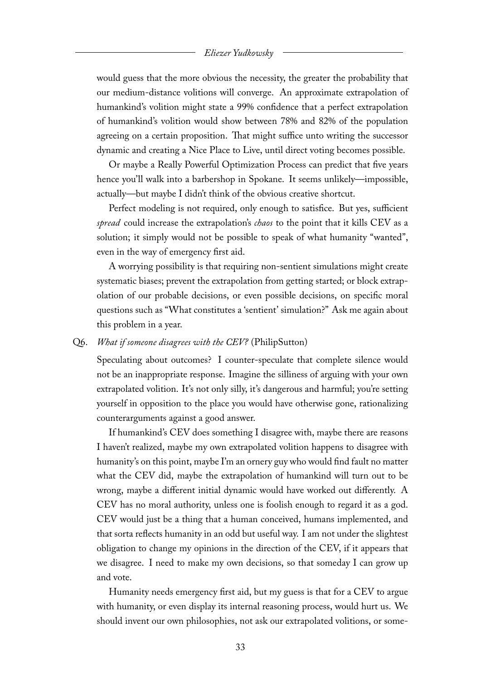#### *Eliezer Yudkowsky*

would guess that the more obvious the necessity, the greater the probability that our medium-distance volitions will converge. An approximate extrapolation of humankind's volition might state a 99% confidence that a perfect extrapolation of humankind's volition would show between 78% and 82% of the population agreeing on a certain proposition. That might suffice unto writing the successor dynamic and creating a Nice Place to Live, until direct voting becomes possible.

Or maybe a Really Powerful Optimization Process can predict that five years hence you'll walk into a barbershop in Spokane. It seems unlikely—impossible, actually—but maybe I didn't think of the obvious creative shortcut.

Perfect modeling is not required, only enough to satisfice. But yes, sufficient *spread* could increase the extrapolation's *chaos* to the point that it kills CEV as a solution; it simply would not be possible to speak of what humanity "wanted", even in the way of emergency first aid.

A worrying possibility is that requiring non-sentient simulations might create systematic biases; prevent the extrapolation from getting started; or block extrapolation of our probable decisions, or even possible decisions, on specific moral questions such as "What constitutes a 'sentient' simulation?" Ask me again about this problem in a year.

#### Q6. *What if someone disagrees with the CEV?* (PhilipSutton)

Speculating about outcomes? I counter-speculate that complete silence would not be an inappropriate response. Imagine the silliness of arguing with your own extrapolated volition. It's not only silly, it's dangerous and harmful; you're setting yourself in opposition to the place you would have otherwise gone, rationalizing counterarguments against a good answer.

If humankind's CEV does something I disagree with, maybe there are reasons I haven't realized, maybe my own extrapolated volition happens to disagree with humanity's on this point, maybe I'm an ornery guy who would find fault no matter what the CEV did, maybe the extrapolation of humankind will turn out to be wrong, maybe a different initial dynamic would have worked out differently. A CEV has no moral authority, unless one is foolish enough to regard it as a god. CEV would just be a thing that a human conceived, humans implemented, and that sorta reflects humanity in an odd but useful way. I am not under the slightest obligation to change my opinions in the direction of the CEV, if it appears that we disagree. I need to make my own decisions, so that someday I can grow up and vote.

Humanity needs emergency first aid, but my guess is that for a CEV to argue with humanity, or even display its internal reasoning process, would hurt us. We should invent our own philosophies, not ask our extrapolated volitions, or some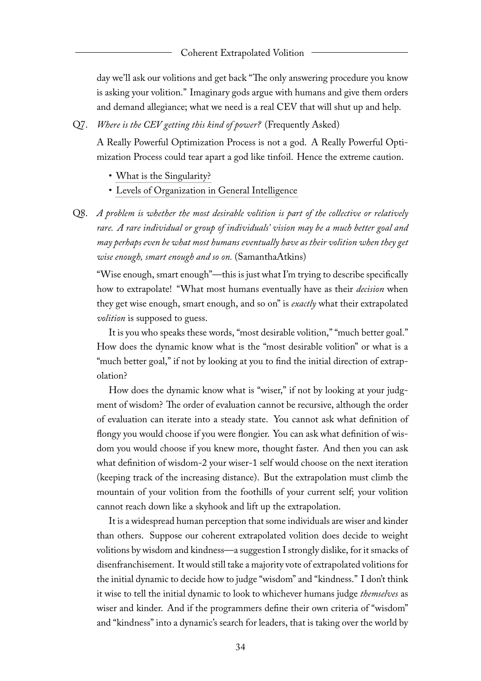day we'll ask our volitions and get back "The only answering procedure you know is asking your volition." Imaginary gods argue with humans and give them orders and demand allegiance; what we need is a real CEV that will shut up and help.

Q7. *Where is the CEV getting this kind of power?* (Frequently Asked)

A Really Powerful Optimization Process is not a god. A Really Powerful Optimization Process could tear apart a god like tinfoil. Hence the extreme caution.

- [What is the Singularity?](http://singinst.org/overview/whatisthesingularity/)
- [Levels of Organization in General Intelligence](http://singinst.org/upload/LOGI.html)
- Q8. *A problem is whether the most desirable volition is part of the collective or relatively rare. A rare individual or group of individuals' vision may be a much better goal and may perhaps even be what most humans eventually have as their volition when they get wise enough, smart enough and so on.* (SamanthaAtkins)

"Wise enough, smart enough"—this is just what I'm trying to describe specifically how to extrapolate! "What most humans eventually have as their *decision* when they get wise enough, smart enough, and so on" is *exactly* what their extrapolated *volition* is supposed to guess.

It is you who speaks these words, "most desirable volition," "much better goal." How does the dynamic know what is the "most desirable volition" or what is a "much better goal," if not by looking at you to find the initial direction of extrapolation?

How does the dynamic know what is "wiser," if not by looking at your judgment of wisdom? The order of evaluation cannot be recursive, although the order of evaluation can iterate into a steady state. You cannot ask what definition of flongy you would choose if you were flongier. You can ask what definition of wisdom you would choose if you knew more, thought faster. And then you can ask what definition of wisdom-2 your wiser-1 self would choose on the next iteration (keeping track of the increasing distance). But the extrapolation must climb the mountain of your volition from the foothills of your current self; your volition cannot reach down like a skyhook and lift up the extrapolation.

It is a widespread human perception that some individuals are wiser and kinder than others. Suppose our coherent extrapolated volition does decide to weight volitions by wisdom and kindness—a suggestion I strongly dislike, for it smacks of disenfranchisement. It would still take a majority vote of extrapolated volitions for the initial dynamic to decide how to judge "wisdom" and "kindness." I don't think it wise to tell the initial dynamic to look to whichever humans judge *themselves* as wiser and kinder. And if the programmers define their own criteria of "wisdom" and "kindness" into a dynamic's search for leaders, that is taking over the world by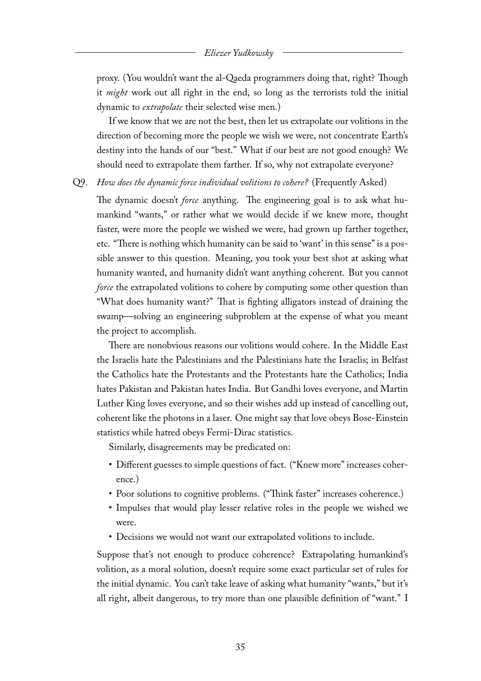proxy. (You wouldn't want the al-Qaeda programmers doing that, right? Though it *might* work out all right in the end, so long as the terrorists told the initial dynamic to *extrapolate* their selected wise men.)

If we know that we are not the best, then let us extrapolate our volitions in the direction of becoming more the people we wish we were, not concentrate Earth's destiny into the hands of our "best." What if our best are not good enough? We should need to extrapolate them farther. If so, why not extrapolate everyone?

## Q9. *How does the dynamic force individual volitions to cohere?* (Frequently Asked)

The dynamic doesn't *force* anything. The engineering goal is to ask what humankind "wants," or rather what we would decide if we knew more, thought faster, were more the people we wished we were, had grown up farther together, etc. "There is nothing which humanity can be said to 'want' in this sense" is a possible answer to this question. Meaning, you took your best shot at asking what humanity wanted, and humanity didn't want anything coherent. But you cannot *force* the extrapolated volitions to cohere by computing some other question than "What does humanity want?" That is fighting alligators instead of draining the swamp—solving an engineering subproblem at the expense of what you meant the project to accomplish.

There are nonobvious reasons our volitions would cohere. In the Middle East the Israelis hate the Palestinians and the Palestinians hate the Israelis; in Belfast the Catholics hate the Protestants and the Protestants hate the Catholics; India hates Pakistan and Pakistan hates India. But Gandhi loves everyone, and Martin Luther King loves everyone, and so their wishes add up instead of cancelling out, coherent like the photons in a laser. One might say that love obeys Bose-Einstein statistics while hatred obeys Fermi-Dirac statistics.

Similarly, disagreements may be predicated on:

- Different guesses to simple questions of fact. ("Knew more" increases coherence.)
- Poor solutions to cognitive problems. ("Think faster" increases coherence.)
- Impulses that would play lesser relative roles in the people we wished we were.
- Decisions we would not want our extrapolated volitions to include.

Suppose that's not enough to produce coherence? Extrapolating humankind's volition, as a moral solution, doesn't require some exact particular set of rules for the initial dynamic. You can't take leave of asking what humanity "wants," but it's all right, albeit dangerous, to try more than one plausible definition of "want." I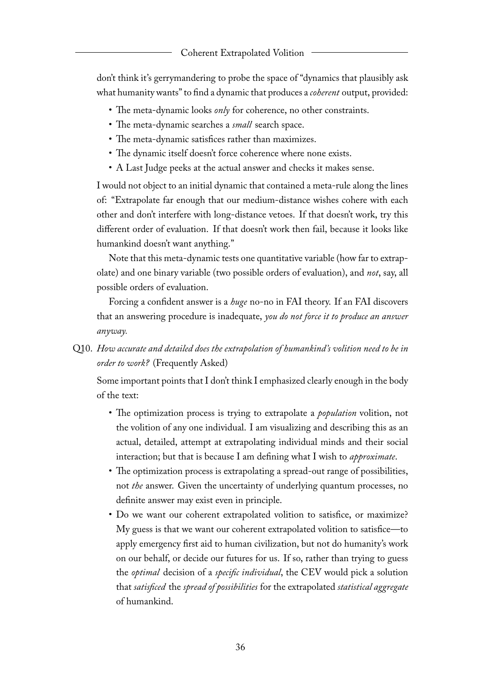don't think it's gerrymandering to probe the space of "dynamics that plausibly ask what humanity wants" to find a dynamic that produces a *coherent* output, provided:

- The meta-dynamic looks *only* for coherence, no other constraints.
- The meta-dynamic searches a *small* search space.
- The meta-dynamic satisfices rather than maximizes.
- The dynamic itself doesn't force coherence where none exists.
- A Last Judge peeks at the actual answer and checks it makes sense.

I would not object to an initial dynamic that contained a meta-rule along the lines of: "Extrapolate far enough that our medium-distance wishes cohere with each other and don't interfere with long-distance vetoes. If that doesn't work, try this different order of evaluation. If that doesn't work then fail, because it looks like humankind doesn't want anything."

Note that this meta-dynamic tests one quantitative variable (how far to extrapolate) and one binary variable (two possible orders of evaluation), and *not*, say, all possible orders of evaluation.

Forcing a confident answer is a *huge* no-no in FAI theory. If an FAI discovers that an answering procedure is inadequate, *you do not force it to produce an answer anyway.*

Q10. *How accurate and detailed does the extrapolation of humankind's volition need to be in order to work?* (Frequently Asked)

Some important points that I don't think I emphasized clearly enough in the body of the text:

- The optimization process is trying to extrapolate a *population* volition, not the volition of any one individual. I am visualizing and describing this as an actual, detailed, attempt at extrapolating individual minds and their social interaction; but that is because I am defining what I wish to *approximate*.
- The optimization process is extrapolating a spread-out range of possibilities, not *the* answer. Given the uncertainty of underlying quantum processes, no definite answer may exist even in principle.
- Do we want our coherent extrapolated volition to satisfice, or maximize? My guess is that we want our coherent extrapolated volition to satisfice—to apply emergency first aid to human civilization, but not do humanity's work on our behalf, or decide our futures for us. If so, rather than trying to guess the *optimal* decision of a *specific individual*, the CEV would pick a solution that *satisficed* the *spread of possibilities* for the extrapolated *statistical aggregate* of humankind.